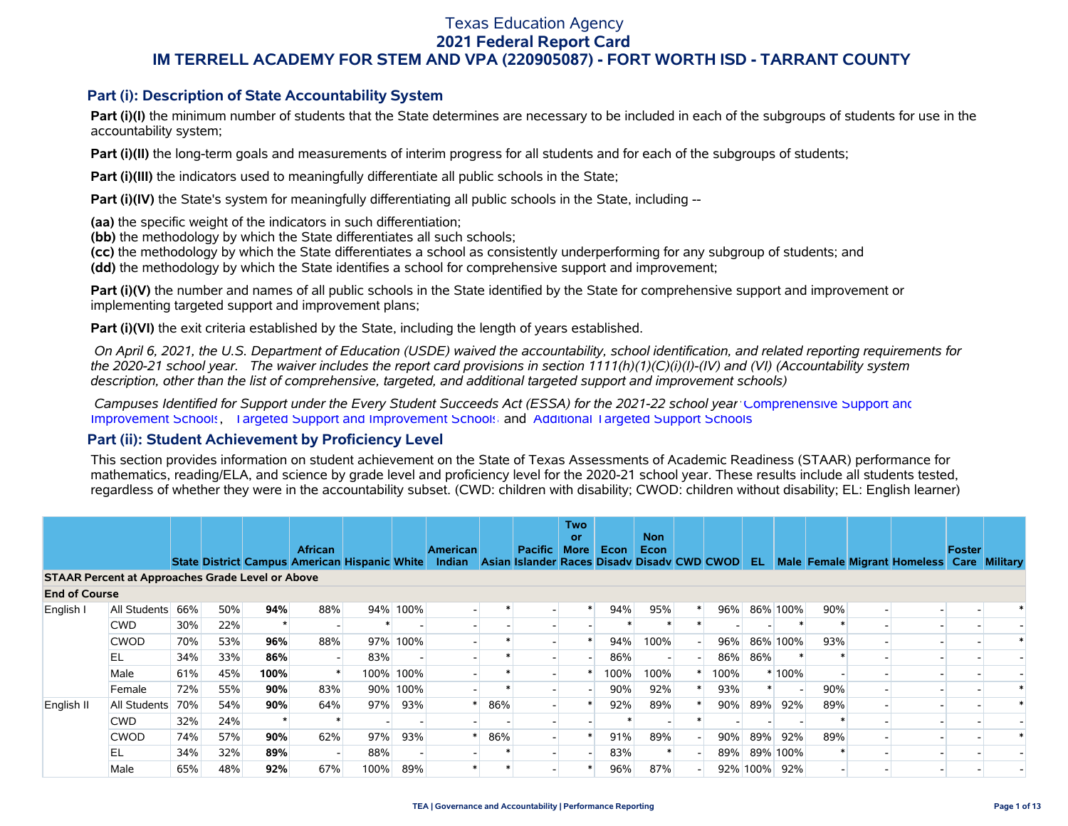### **Part (i): Description of State Accountability System**

Part (i)(I) the minimum number of students that the State determines are necessary to be included in each of the subgroups of students for use in the accountability system;

**Part (i)(II)** the long-term goals and measurements of interim progress for all students and for each of the subgroups of students;

**Part (i)(III)** the indicators used to meaningfully differentiate all public schools in the State;

**Part (i)(IV)** the State's system for meaningfully differentiating all public schools in the State, including --

**(aa)** the specific weight of the indicators in such differentiation;

**(bb)** the methodology by which the State differentiates all such schools;

**(cc)** the methodology by which the State differentiates a school as consistently underperforming for any subgroup of students; and

**(dd)** the methodology by which the State identifies a school for comprehensive support and improvement;

**Part (i)(V)** the number and names of all public schools in the State identified by the State for comprehensive support and improvement or implementing targeted support and improvement plans;

**Part (i)(VI)** the exit criteria established by the State, including the length of years established.

 *On April 6, 2021, the U.S. Department of Education (USDE) waived the accountability, school identification, and related reporting requirements for the 2020-21 school year. The waiver includes the report card provisions in section 1111(h)(1)(C)(i)(I)-(IV) and (VI) (Accountability system description, other than the list of comprehensive, targeted, and additional targeted support and improvement schools)* 

 *Campuses Identified for Support under the Every Student Succeeds Act (ESSA) for the 2021-22 school year:* [Comprehensive Support and](https://tea.texas.gov/sites/default/files/comprehensive_support_2021.xlsx) [Improvement Schools](https://tea.texas.gov/sites/default/files/comprehensive_support_2021.xlsx), [Targeted Support and Improvement Schools](https://tea.texas.gov/sites/default/files/targeted_support_2021.xlsx) and [Additional Targeted Support Schools.](https://tea.texas.gov/sites/default/files/additional_targeted_support_2021.xlsx)

#### **Part (ii): Student Achievement by Proficiency Level**

This section provides information on student achievement on the State of Texas Assessments of Academic Readiness (STAAR) performance for mathematics, reading/ELA, and science by grade level and proficiency level for the 2020-21 school year. These results include all students tested, regardless of whether they were in the accountability subset. (CWD: children with disability; CWOD: children without disability; EL: English learner)

|                      |                                                         |     |     |      |                                                                        |      |           |                           |     |                                                               | <b>Two</b><br>or |      | <b>Non</b> |      |      |          |     |                                            |               |  |
|----------------------|---------------------------------------------------------|-----|-----|------|------------------------------------------------------------------------|------|-----------|---------------------------|-----|---------------------------------------------------------------|------------------|------|------------|------|------|----------|-----|--------------------------------------------|---------------|--|
|                      |                                                         |     |     |      | <b>African</b><br><b>State District Campus American Hispanic White</b> |      |           | <b>American</b><br>Indian |     | <b>Pacific</b><br>Asian Islander Races Disady Disady CWD CWOD | <b>More</b>      | Econ | Econ       |      | EL.  |          |     | Male Female Migrant Homeless Care Military | <b>Foster</b> |  |
|                      | <b>STAAR Percent at Approaches Grade Level or Above</b> |     |     |      |                                                                        |      |           |                           |     |                                                               |                  |      |            |      |      |          |     |                                            |               |  |
| <b>End of Course</b> |                                                         |     |     |      |                                                                        |      |           |                           |     |                                                               |                  |      |            |      |      |          |     |                                            |               |  |
| English I            | All Students                                            | 66% | 50% | 94%  | 88%                                                                    |      | 94% 100%  |                           |     |                                                               | *                | 94%  | 95%        | 96%  |      | 86% 100% | 90% |                                            |               |  |
|                      | <b>CWD</b>                                              | 30% | 22% |      |                                                                        |      |           |                           |     |                                                               |                  |      |            |      |      |          |     |                                            |               |  |
|                      | <b>CWOD</b>                                             | 70% | 53% | 96%  | 88%                                                                    |      | 97% 100%  |                           |     |                                                               |                  | 94%  | 100%       | 96%  |      | 86% 100% | 93% |                                            |               |  |
|                      | EL                                                      | 34% | 33% | 86%  | $\overline{\phantom{a}}$                                               | 83%  |           |                           |     |                                                               |                  | 86%  |            | 86%  | 86%  |          |     |                                            |               |  |
|                      | Male                                                    | 61% | 45% | 100% | $\ast$                                                                 |      | 100% 100% |                           |     |                                                               |                  | 100% | 100%       | 100% |      | 100%     |     |                                            |               |  |
|                      | Female                                                  | 72% | 55% | 90%  | 83%                                                                    |      | 90% 100%  |                           |     |                                                               |                  | 90%  | 92%        | 93%  |      |          | 90% |                                            |               |  |
| English II           | All Students                                            | 70% | 54% | 90%  | 64%                                                                    | 97%  | 93%       |                           | 86% |                                                               |                  | 92%  | 89%        | 90%  | 89%  | 92%      | 89% |                                            |               |  |
|                      | <b>CWD</b>                                              | 32% | 24% |      |                                                                        |      |           |                           |     |                                                               |                  |      |            |      |      |          |     |                                            |               |  |
|                      | <b>CWOD</b>                                             | 74% | 57% | 90%  | 62%                                                                    | 97%  | 93%       |                           | 86% |                                                               |                  | 91%  | 89%        | 90%  | 89%  | 92%      | 89% |                                            |               |  |
|                      | EL                                                      | 34% | 32% | 89%  | $\overline{\phantom{a}}$                                               | 88%  |           |                           |     |                                                               |                  | 83%  |            | 89%  |      | 89% 100% |     |                                            |               |  |
|                      | Male                                                    | 65% | 48% | 92%  | 67%                                                                    | 100% | 89%       |                           |     |                                                               |                  | 96%  | 87%        | 92%  | 100% | 92%      |     |                                            |               |  |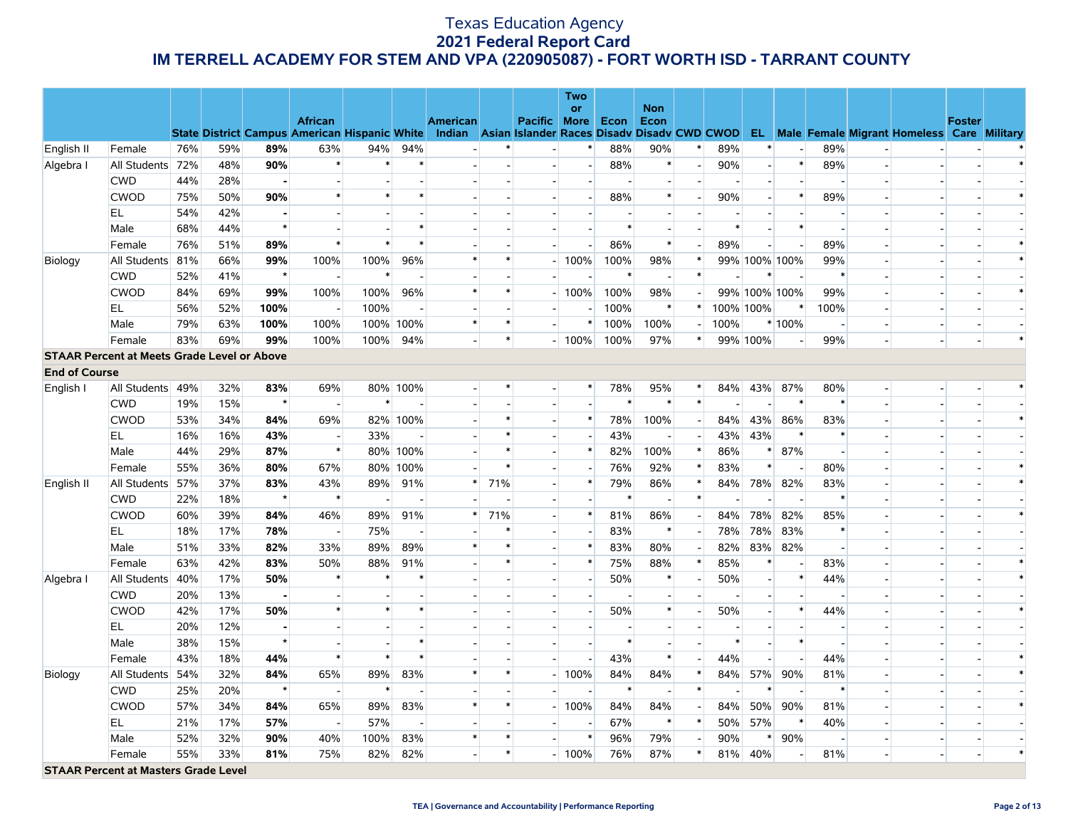|                      |                                                    |     |     |         |                                                                        |                          |           |                                                                       |        |                     | <b>Two</b>               |        |                          |        |           |                          |                |                          |                          |                                                      |               |  |
|----------------------|----------------------------------------------------|-----|-----|---------|------------------------------------------------------------------------|--------------------------|-----------|-----------------------------------------------------------------------|--------|---------------------|--------------------------|--------|--------------------------|--------|-----------|--------------------------|----------------|--------------------------|--------------------------|------------------------------------------------------|---------------|--|
|                      |                                                    |     |     |         |                                                                        |                          |           |                                                                       |        |                     | or                       |        | <b>Non</b>               |        |           |                          |                |                          |                          |                                                      |               |  |
|                      |                                                    |     |     |         | <b>African</b><br><b>State District Campus American Hispanic White</b> |                          |           | <b>American</b><br>Indian Asian Islander Races Disady Disady CWD CWOD |        | <b>Pacific</b> More |                          | Econ   | Econ                     |        |           |                          |                |                          |                          | <b>EL</b> Male Female Migrant Homeless Care Military | <b>Foster</b> |  |
| English II           | Female                                             | 76% | 59% | 89%     | 63%                                                                    | 94%                      | 94%       |                                                                       | $\ast$ |                     | $\ast$                   | 88%    | 90%                      | $\ast$ | 89%       | $\ast$                   |                | 89%                      |                          |                                                      |               |  |
| Algebra I            | All Students                                       | 72% | 48% | 90%     | $\ast$                                                                 | $\ast$                   | $\ast$    |                                                                       |        |                     | $\blacksquare$           | 88%    | $\ast$                   |        | 90%       |                          | $\ast$         | 89%                      |                          |                                                      |               |  |
|                      | <b>CWD</b>                                         | 44% | 28% | ٠       | $\overline{\phantom{a}}$                                               |                          |           |                                                                       |        |                     | $\overline{\phantom{a}}$ |        | $\overline{\phantom{a}}$ |        |           |                          | ÷,             |                          |                          |                                                      |               |  |
|                      | <b>CWOD</b>                                        | 75% | 50% | 90%     | $\ast$                                                                 | $\ast$                   |           |                                                                       |        |                     | $\overline{\phantom{a}}$ | 88%    | $\ast$                   |        | 90%       |                          | $\ast$         | 89%                      |                          |                                                      |               |  |
|                      | EL                                                 | 54% | 42% |         | $\overline{\phantom{a}}$                                               |                          |           |                                                                       |        |                     |                          |        | $\overline{\phantom{a}}$ |        |           |                          |                |                          |                          |                                                      |               |  |
|                      | Male                                               | 68% | 44% | $\star$ | $\overline{\phantom{a}}$                                               |                          | $\ast$    |                                                                       |        |                     | $\sim$                   | $\ast$ | $\overline{\phantom{a}}$ |        | $\ast$    |                          | $\ast$         | $\overline{a}$           |                          |                                                      |               |  |
|                      | Female                                             | 76% | 51% | 89%     | $\ast$                                                                 | $\ast$                   | $\ast$    |                                                                       |        |                     | $\blacksquare$           | 86%    | $\ast$                   |        | 89%       |                          |                | 89%                      | $\overline{a}$           |                                                      |               |  |
| <b>Biology</b>       | All Students 81%                                   |     | 66% | 99%     | 100%                                                                   | 100%                     | 96%       | $\ast$                                                                | $\ast$ |                     | 100%                     | 100%   | 98%                      | $\ast$ |           | 99% 100% 100%            |                | 99%                      |                          |                                                      |               |  |
|                      | <b>CWD</b>                                         | 52% | 41% | $\star$ | $\blacksquare$                                                         | $\ast$                   |           |                                                                       |        |                     |                          | $\ast$ | $\overline{\phantom{a}}$ | $\ast$ |           |                          |                | $\ast$                   |                          |                                                      |               |  |
|                      | <b>CWOD</b>                                        | 84% | 69% | 99%     | 100%                                                                   | 100%                     | 96%       | $\ast$                                                                | $\ast$ |                     | 100%                     | 100%   | 98%                      |        |           | 99% 100% 100%            |                | 99%                      |                          |                                                      |               |  |
|                      | <b>EL</b>                                          | 56% | 52% | 100%    | $\overline{\phantom{a}}$                                               | 100%                     |           |                                                                       |        |                     |                          | 100%   | $\ast$                   | $\ast$ | 100% 100% |                          | $\ast$         | 100%                     |                          |                                                      |               |  |
|                      | Male                                               | 79% | 63% | 100%    | 100%                                                                   |                          | 100% 100% | $\ast$                                                                | $\ast$ |                     | $\ast$                   | 100%   | 100%                     |        | 100%      |                          | * 100%         | $\sim$                   |                          | $\overline{\phantom{a}}$                             |               |  |
|                      | Female                                             | 83% | 69% | 99%     | 100%                                                                   | 100%                     | 94%       |                                                                       | $\ast$ |                     | $-100%$                  | 100%   | 97%                      | $\ast$ |           | 99% 100%                 |                | 99%                      | $\overline{a}$           | $\overline{a}$                                       |               |  |
|                      | <b>STAAR Percent at Meets Grade Level or Above</b> |     |     |         |                                                                        |                          |           |                                                                       |        |                     |                          |        |                          |        |           |                          |                |                          |                          |                                                      |               |  |
| <b>End of Course</b> |                                                    |     |     |         |                                                                        |                          |           |                                                                       |        |                     |                          |        |                          |        |           |                          |                |                          |                          |                                                      |               |  |
| English I            | All Students 49%                                   |     | 32% | 83%     | 69%                                                                    |                          | 80% 100%  |                                                                       |        |                     | $\ast$                   | 78%    | 95%                      | $\ast$ | 84%       | 43%                      | 87%            | 80%                      | $\overline{\phantom{0}}$ |                                                      |               |  |
|                      | <b>CWD</b>                                         | 19% | 15% | $\star$ | $\sim$                                                                 | $\ast$                   |           |                                                                       |        |                     | $\overline{\phantom{a}}$ | $\ast$ | $\ast$                   | $\ast$ |           |                          | $\ast$         | $\ast$                   |                          |                                                      |               |  |
|                      | <b>CWOD</b>                                        | 53% | 34% | 84%     | 69%                                                                    |                          | 82% 100%  |                                                                       |        |                     | $\ast$                   | 78%    | 100%                     |        | 84%       | 43%                      | 86%            | 83%                      |                          |                                                      |               |  |
|                      | <b>EL</b>                                          | 16% | 16% | 43%     | $\overline{\phantom{a}}$                                               | 33%                      |           |                                                                       | $\ast$ |                     | $\blacksquare$           | 43%    | $\overline{\phantom{a}}$ |        | 43%       | 43%                      | $\ast$         | $\ast$                   |                          |                                                      |               |  |
|                      | Male                                               | 44% | 29% | 87%     | $\ast$                                                                 |                          | 80% 100%  |                                                                       | $\ast$ |                     | $\ast$                   | 82%    | 100%                     | $\ast$ | 86%       |                          | 87%            |                          |                          |                                                      |               |  |
|                      | Female                                             | 55% | 36% | 80%     | 67%                                                                    |                          | 80% 100%  |                                                                       | $\ast$ |                     | $\overline{\phantom{a}}$ | 76%    | 92%                      | ∗      | 83%       |                          |                | 80%                      |                          |                                                      |               |  |
| English II           | All Students                                       | 57% | 37% | 83%     | 43%                                                                    | 89%                      | 91%       | $\ast$                                                                | 71%    |                     | $\ast$                   | 79%    | 86%                      | $\ast$ | 84%       | 78%                      | 82%            | 83%                      |                          |                                                      |               |  |
|                      | <b>CWD</b>                                         | 22% | 18% | $\star$ | $\ast$                                                                 | $\overline{\phantom{a}}$ |           |                                                                       |        |                     | $\blacksquare$           | $\ast$ | $\overline{\phantom{a}}$ | $\ast$ |           |                          |                | $\ast$                   |                          |                                                      |               |  |
|                      | <b>CWOD</b>                                        | 60% | 39% | 84%     | 46%                                                                    | 89%                      | 91%       |                                                                       | 71%    |                     | $\ast$                   | 81%    | 86%                      |        | 84%       | 78%                      | 82%            | 85%                      |                          |                                                      |               |  |
|                      | EL                                                 | 18% | 17% | 78%     | $\overline{\phantom{a}}$                                               | 75%                      |           |                                                                       |        |                     | $\blacksquare$           | 83%    | $\ast$                   |        | 78%       | 78%                      | 83%            | $\ast$                   |                          |                                                      |               |  |
|                      | Male                                               | 51% | 33% | 82%     | 33%                                                                    | 89%                      | 89%       | $\ast$                                                                |        |                     | $\ast$                   | 83%    | 80%                      |        | 82%       | 83%                      | 82%            | $\overline{\phantom{a}}$ |                          |                                                      |               |  |
|                      | Female                                             | 63% | 42% | 83%     | 50%                                                                    | 88%                      | 91%       |                                                                       | $\ast$ |                     | $\ast$                   | 75%    | 88%                      |        | 85%       |                          |                | 83%                      |                          |                                                      |               |  |
| Algebra I            | All Students                                       | 40% | 17% | 50%     | $\ast$                                                                 | $\ast$                   | $\ast$    |                                                                       |        |                     | $\overline{\phantom{a}}$ | 50%    | $\ast$                   |        | 50%       | $\overline{\phantom{a}}$ | $\ast$         | 44%                      |                          |                                                      |               |  |
|                      | <b>CWD</b>                                         | 20% | 13% |         | $\overline{\phantom{a}}$                                               |                          |           |                                                                       |        |                     | $\overline{\phantom{a}}$ |        | $\overline{\phantom{a}}$ |        |           |                          |                |                          |                          |                                                      |               |  |
|                      | <b>CWOD</b>                                        | 42% | 17% | 50%     | $\ast$                                                                 | $\ast$                   | $\ast$    |                                                                       |        |                     | $\blacksquare$           | 50%    | $\ast$                   |        | 50%       |                          | $\ast$         | 44%                      |                          |                                                      |               |  |
|                      | EL                                                 | 20% | 12% |         | $\overline{\phantom{a}}$                                               |                          |           |                                                                       |        |                     |                          |        | $\overline{\phantom{a}}$ |        |           |                          |                |                          |                          |                                                      |               |  |
|                      | Male                                               | 38% | 15% | $\star$ | $\overline{a}$                                                         |                          | $\ast$    |                                                                       |        |                     | $\overline{\phantom{a}}$ | $\ast$ | $\overline{\phantom{a}}$ |        | $\ast$    |                          | $\ast$         | $\overline{\phantom{a}}$ |                          |                                                      |               |  |
|                      | Female                                             | 43% | 18% | 44%     | $\ast$                                                                 | $\ast$                   | $\ast$    |                                                                       |        |                     | $\sim$                   | 43%    | $\ast$                   |        | 44%       |                          |                | 44%                      |                          |                                                      |               |  |
| Biology              | All Students                                       | 54% | 32% | 84%     | 65%                                                                    | 89%                      | 83%       |                                                                       |        |                     | 100%                     | 84%    | 84%                      | $\ast$ | 84%       | 57%                      | 90%            | 81%                      |                          |                                                      |               |  |
|                      | <b>CWD</b>                                         | 25% | 20% | $\star$ | $\blacksquare$                                                         | $\ast$                   |           |                                                                       |        |                     |                          | $\ast$ | $\overline{\phantom{a}}$ | $\ast$ |           |                          |                | $\ast$                   |                          |                                                      |               |  |
|                      | <b>CWOD</b>                                        | 57% | 34% | 84%     | 65%                                                                    | 89%                      | 83%       |                                                                       |        |                     | 100%                     | 84%    | 84%                      |        | 84%       | 50%                      | 90%            | 81%                      | $\overline{\phantom{0}}$ |                                                      |               |  |
|                      | EL                                                 | 21% | 17% | 57%     | $\overline{\phantom{a}}$                                               | 57%                      |           |                                                                       |        |                     | $\overline{\phantom{a}}$ | 67%    | $\ast$                   | $\ast$ | 50%       | 57%                      | $\ast$         | 40%                      |                          |                                                      |               |  |
|                      | Male                                               | 52% | 32% | 90%     | 40%                                                                    | 100%                     | 83%       | $\ast$                                                                |        |                     | $\ast$                   | 96%    | 79%                      |        | 90%       |                          | 90%            |                          |                          |                                                      |               |  |
|                      | Female                                             | 55% | 33% | 81%     | 75%                                                                    | 82%                      | 82%       |                                                                       | $\ast$ |                     | $-100%$                  | 76%    | 87%                      | $\ast$ | 81%       | 40%                      | $\blacksquare$ | 81%                      |                          | $\overline{\phantom{a}}$                             |               |  |
|                      | <b>STAAR Percent at Masters Grade Level</b>        |     |     |         |                                                                        |                          |           |                                                                       |        |                     |                          |        |                          |        |           |                          |                |                          |                          |                                                      |               |  |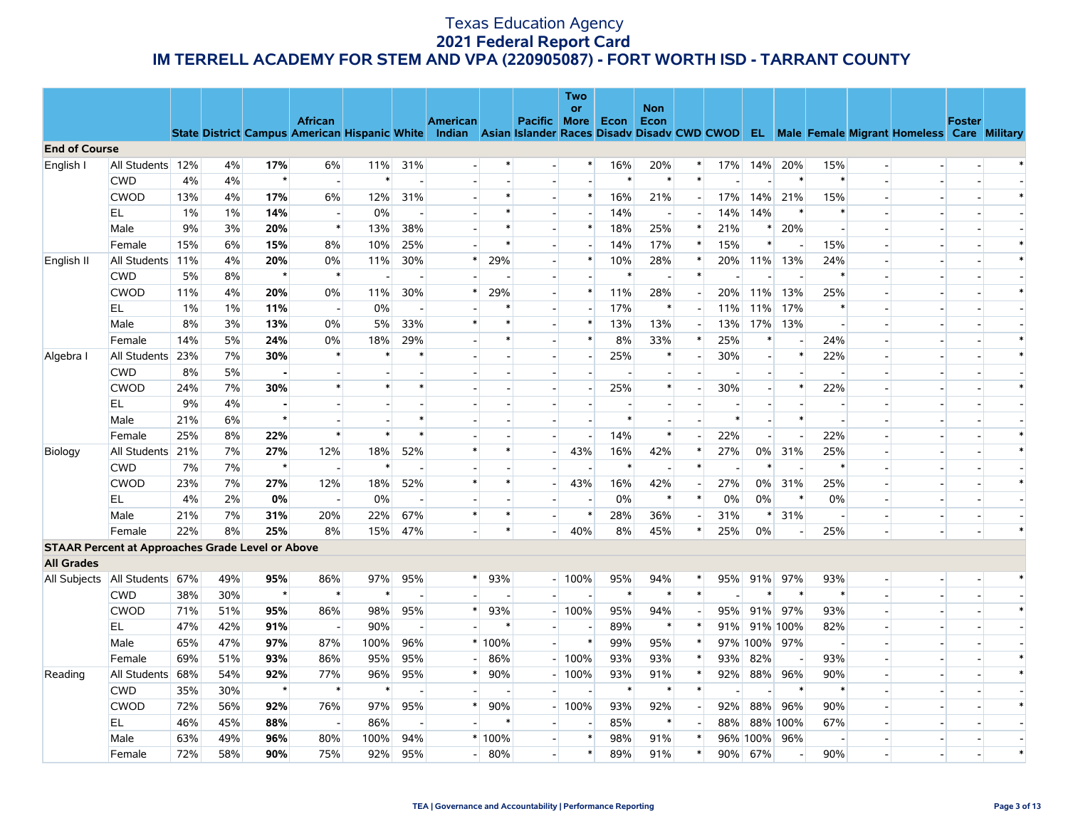|                      |                                                         |     |     |         |                          |      |                          |                 |        |                | <b>Two</b><br>or         |                          | <b>Non</b>               |        |        |                          |          |        |                          |                                                                                                                                                |               |        |
|----------------------|---------------------------------------------------------|-----|-----|---------|--------------------------|------|--------------------------|-----------------|--------|----------------|--------------------------|--------------------------|--------------------------|--------|--------|--------------------------|----------|--------|--------------------------|------------------------------------------------------------------------------------------------------------------------------------------------|---------------|--------|
|                      |                                                         |     |     |         | <b>African</b>           |      |                          | <b>American</b> |        | Pacific        | More                     | Econ                     | Econ                     |        |        |                          |          |        |                          |                                                                                                                                                | <b>Foster</b> |        |
| <b>End of Course</b> |                                                         |     |     |         |                          |      |                          |                 |        |                |                          |                          |                          |        |        |                          |          |        |                          | State District Campus American Hispanic White Indian Asian Islander Races Disadv Disadv CWD CWOD EL Male Female Migrant Homeless Care Military |               |        |
| English I            | All Students                                            | 12% | 4%  | 17%     | 6%                       | 11%  | 31%                      |                 | $\ast$ |                | $\ast$                   | 16%                      | 20%                      |        | 17%    | 14%                      | 20%      | 15%    | $\sim$                   |                                                                                                                                                |               |        |
|                      | <b>CWD</b>                                              | 4%  | 4%  |         | $\sim$                   |      |                          |                 |        |                |                          | $\ast$                   | $\ast$                   | $\ast$ |        |                          | $\ast$   | $\ast$ | $\sim$                   |                                                                                                                                                |               |        |
|                      | <b>CWOD</b>                                             | 13% | 4%  | 17%     | 6%                       | 12%  | 31%                      |                 | $\ast$ |                | $\ast$                   | 16%                      | 21%                      |        | 17%    | 14%                      | 21%      | 15%    | $\overline{\phantom{a}}$ |                                                                                                                                                |               |        |
|                      | EL                                                      | 1%  | 1%  | 14%     | $\sim$                   | 0%   |                          |                 | $\ast$ |                | $\overline{\phantom{a}}$ | 14%                      | $\overline{\phantom{a}}$ |        | 14%    | 14%                      |          | $\ast$ | $\overline{a}$           | a.                                                                                                                                             |               |        |
|                      | Male                                                    | 9%  | 3%  | 20%     | $\ast$                   | 13%  | 38%                      |                 | $\ast$ |                | $\ast$                   | 18%                      | 25%                      |        | 21%    | $\ast$                   | 20%      |        | $\overline{\phantom{a}}$ |                                                                                                                                                |               |        |
|                      | Female                                                  | 15% | 6%  | 15%     | 8%                       | 10%  | 25%                      |                 | $\ast$ |                |                          | 14%                      | 17%                      |        | 15%    | $\ast$                   |          | 15%    |                          |                                                                                                                                                |               |        |
| English II           | All Students                                            | 11% | 4%  | 20%     | 0%                       | 11%  | 30%                      | $\ast$          | 29%    |                | $\ast$                   | 10%                      | 28%                      |        | 20%    | 11%                      | 13%      | 24%    | $\overline{\phantom{a}}$ |                                                                                                                                                |               |        |
|                      | <b>CWD</b>                                              | 5%  | 8%  | $\star$ | $\ast$                   |      |                          |                 |        |                | $\overline{a}$           | $\ast$                   | $\overline{a}$           |        |        |                          |          | $\ast$ | $\overline{\phantom{a}}$ |                                                                                                                                                |               |        |
|                      | <b>CWOD</b>                                             | 11% | 4%  | 20%     | 0%                       | 11%  | 30%                      | $\ast$          | 29%    |                | $\ast$                   | 11%                      | 28%                      |        | 20%    | 11%                      | 13%      | 25%    | $\overline{\phantom{0}}$ |                                                                                                                                                |               |        |
|                      | EL                                                      | 1%  | 1%  | 11%     | $\overline{\phantom{a}}$ | 0%   |                          |                 | $\ast$ | $\overline{a}$ |                          | 17%                      | $\ast$                   |        | 11%    | 11%                      | 17%      | $\ast$ | ш.                       |                                                                                                                                                |               |        |
|                      | Male                                                    | 8%  | 3%  | 13%     | 0%                       | 5%   | 33%                      | $\ast$          |        |                | $\ast$                   | 13%                      | 13%                      |        | 13%    | 17%                      | 13%      |        | $\sim$                   |                                                                                                                                                |               |        |
|                      | Female                                                  | 14% | 5%  | 24%     | 0%                       | 18%  | 29%                      |                 | $\ast$ |                | $\ast$                   | 8%                       | 33%                      |        | 25%    | $\ast$                   |          | 24%    | $\overline{\phantom{a}}$ |                                                                                                                                                |               |        |
| Algebra I            | All Students                                            | 23% | 7%  | 30%     | $\ast$                   |      |                          |                 |        |                | $\overline{\phantom{a}}$ | 25%                      | $\ast$                   |        | 30%    | $\overline{\phantom{a}}$ |          | 22%    | $\sim$                   |                                                                                                                                                |               |        |
|                      | <b>CWD</b>                                              | 8%  | 5%  |         | $\overline{\phantom{a}}$ |      |                          |                 |        |                | $\overline{a}$           |                          | $\overline{a}$           |        |        |                          |          |        | $\overline{\phantom{a}}$ |                                                                                                                                                |               |        |
|                      | <b>CWOD</b>                                             | 24% | 7%  | 30%     | $\ast$                   |      |                          |                 |        |                | $\overline{\phantom{a}}$ | 25%                      | $\ast$                   |        | 30%    |                          | $\ast$   | 22%    | $\blacksquare$           |                                                                                                                                                |               |        |
|                      | EL                                                      | 9%  | 4%  |         | $\blacksquare$           |      |                          |                 |        |                |                          | $\overline{\phantom{a}}$ | $\overline{\phantom{a}}$ |        |        |                          |          |        |                          |                                                                                                                                                |               |        |
|                      | Male                                                    | 21% | 6%  | $\star$ | $\blacksquare$           |      | $\ast$                   |                 |        |                |                          | $\ast$                   |                          |        | $\ast$ |                          | $\ast$   |        | $\blacksquare$           |                                                                                                                                                |               |        |
|                      | Female                                                  | 25% | 8%  | 22%     | $\ast$                   |      | $\ast$                   |                 |        |                |                          | 14%                      | $\ast$                   |        | 22%    |                          |          | 22%    |                          |                                                                                                                                                |               |        |
| Biology              | All Students                                            | 21% | 7%  | 27%     | 12%                      | 18%  | 52%                      | $\ast$          | $\ast$ |                | 43%                      | 16%                      | 42%                      |        | 27%    | $0\%$                    | 31%      | 25%    | $\blacksquare$           | $\overline{\phantom{a}}$                                                                                                                       |               |        |
|                      | <b>CWD</b>                                              | 7%  | 7%  | $\star$ | $\overline{\phantom{a}}$ |      |                          |                 |        |                |                          | $\ast$                   |                          | $\ast$ |        | $\ast$                   |          | $\ast$ |                          |                                                                                                                                                |               |        |
|                      | <b>CWOD</b>                                             | 23% | 7%  | 27%     | 12%                      | 18%  | 52%                      | $\ast$          | $\ast$ |                | 43%                      | 16%                      | 42%                      |        | 27%    | 0%                       | 31%      | 25%    | $\overline{a}$           | $\overline{a}$                                                                                                                                 |               | $\ast$ |
|                      | EL                                                      | 4%  | 2%  | 0%      | $\overline{\phantom{a}}$ | 0%   |                          |                 |        |                |                          | 0%                       | $\ast$                   | $\ast$ | 0%     | 0%                       | $\ast$   | 0%     |                          |                                                                                                                                                |               |        |
|                      | Male                                                    | 21% | 7%  | 31%     | 20%                      | 22%  | 67%                      | $\ast$          | $\ast$ |                | $\ast$                   | 28%                      | 36%                      |        | 31%    | ∗                        | 31%      |        | $\overline{\phantom{0}}$ | $\overline{\phantom{a}}$                                                                                                                       |               |        |
|                      | Female                                                  | 22% | 8%  | 25%     | 8%                       | 15%  | 47%                      |                 | $\ast$ |                | 40%                      | 8%                       | 45%                      |        | 25%    | 0%                       |          | 25%    |                          |                                                                                                                                                |               |        |
|                      | <b>STAAR Percent at Approaches Grade Level or Above</b> |     |     |         |                          |      |                          |                 |        |                |                          |                          |                          |        |        |                          |          |        |                          |                                                                                                                                                |               |        |
| <b>All Grades</b>    |                                                         |     |     |         |                          |      |                          |                 |        |                |                          |                          |                          |        |        |                          |          |        |                          |                                                                                                                                                |               |        |
| All Subjects         | All Students                                            | 67% | 49% | 95%     | 86%                      | 97%  | 95%                      | $\ast$          | 93%    |                | $-100%$                  | 95%                      | 94%                      |        | 95%    | 91%                      | 97%      | 93%    | $\overline{a}$           | $\overline{a}$                                                                                                                                 |               |        |
|                      | <b>CWD</b>                                              | 38% | 30% | $\star$ | $\ast$                   |      |                          |                 |        |                |                          | $\ast$                   | $\ast$                   | $\ast$ |        | $\ast$                   | $\ast$   | $\ast$ | $\blacksquare$           |                                                                                                                                                |               |        |
|                      | <b>CWOD</b>                                             | 71% | 51% | 95%     | 86%                      | 98%  | 95%                      | $\ast$          | 93%    |                | 100%                     | 95%                      | 94%                      |        | 95%    | 91%                      | 97%      | 93%    | $\overline{a}$           | $\overline{a}$                                                                                                                                 |               | $\ast$ |
|                      | EL                                                      | 47% | 42% | 91%     | $\overline{\phantom{a}}$ | 90%  |                          |                 | $\ast$ |                |                          | 89%                      | $\ast$                   |        | 91%    |                          | 91% 100% | 82%    | $\overline{\phantom{a}}$ |                                                                                                                                                |               |        |
|                      | Male                                                    | 65% | 47% | 97%     | 87%                      | 100% | 96%                      |                 | * 100% |                | $\ast$                   | 99%                      | 95%                      |        |        | 97% 100% 97%             |          |        |                          |                                                                                                                                                |               |        |
|                      | Female                                                  | 69% | 51% | 93%     | 86%                      | 95%  | 95%                      |                 | 86%    |                | 100%                     | 93%                      | 93%                      |        | 93%    | 82%                      |          | 93%    | $\sim$                   |                                                                                                                                                |               |        |
| Reading              | All Students                                            | 68% | 54% | 92%     | 77%                      | 96%  | 95%                      | $\ast$          | 90%    |                | 100%                     | 93%                      | 91%                      |        | 92%    | 88%                      | 96%      | 90%    | $\overline{\phantom{a}}$ |                                                                                                                                                |               |        |
|                      | <b>CWD</b>                                              | 35% | 30% | $\star$ | $\ast$                   |      |                          |                 |        |                |                          | $\ast$                   | $\ast$                   |        |        |                          | $\ast$   | $\ast$ | $\sim$                   |                                                                                                                                                |               |        |
|                      | <b>CWOD</b>                                             | 72% | 56% | 92%     | 76%                      | 97%  | 95%                      | $\ast$          | 90%    |                | 100%                     | 93%                      | 92%                      |        | 92%    | 88%                      | 96%      | 90%    |                          |                                                                                                                                                |               |        |
|                      | EL                                                      | 46% | 45% | 88%     | $\overline{\phantom{a}}$ | 86%  | $\overline{\phantom{a}}$ |                 | $\ast$ |                |                          | 85%                      | $\ast$                   |        | 88%    |                          | 88% 100% | 67%    | $\sim$                   |                                                                                                                                                |               |        |
|                      | Male                                                    | 63% | 49% | 96%     | 80%                      | 100% | 94%                      |                 | * 100% |                | $\ast$                   | 98%                      | 91%                      |        |        | 96% 100%                 | 96%      |        |                          |                                                                                                                                                |               |        |
|                      | Female                                                  | 72% | 58% | 90%     | 75%                      | 92%  | 95%                      |                 | 80%    |                | $\ast$                   | 89%                      | 91%                      |        | 90%    | 67%                      |          | 90%    |                          | $\overline{\phantom{a}}$                                                                                                                       |               |        |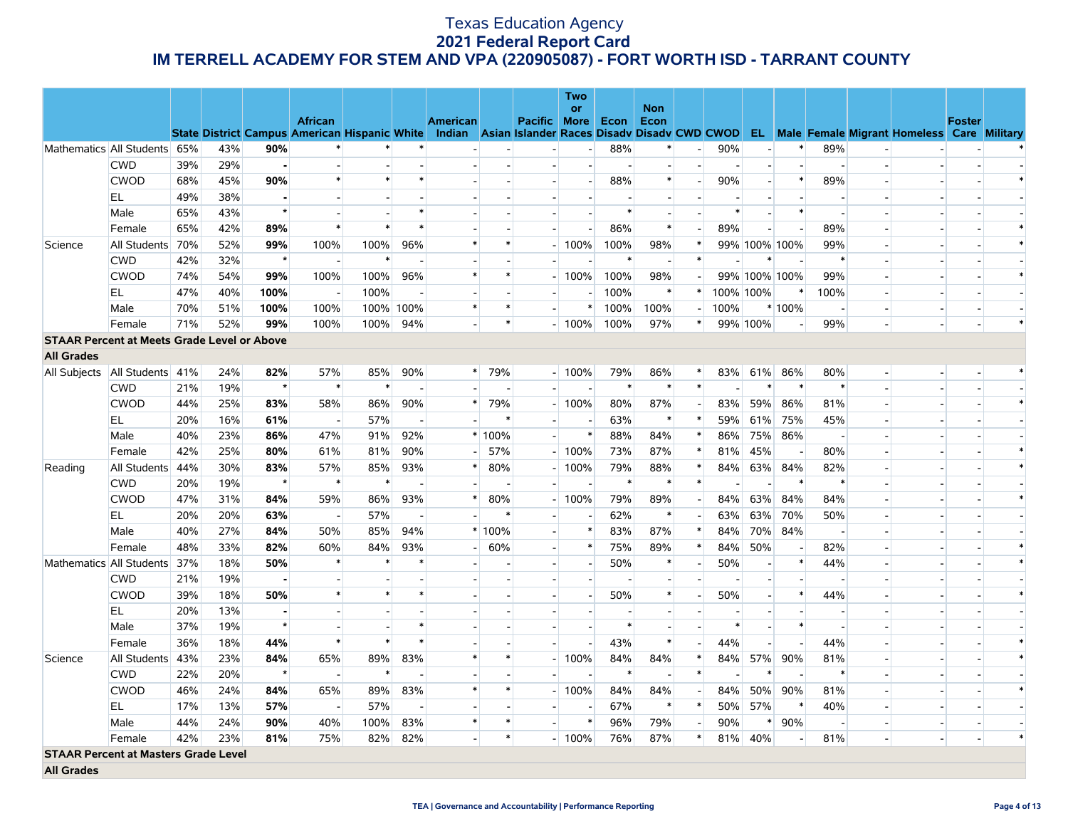|                   |                                                    |     |     |                          |                          |        |           |                          |                |                          | <b>Two</b>               |                          |                          |        |           |                |        |                          |                          |                                                                                                                                                |               |  |
|-------------------|----------------------------------------------------|-----|-----|--------------------------|--------------------------|--------|-----------|--------------------------|----------------|--------------------------|--------------------------|--------------------------|--------------------------|--------|-----------|----------------|--------|--------------------------|--------------------------|------------------------------------------------------------------------------------------------------------------------------------------------|---------------|--|
|                   |                                                    |     |     |                          | <b>African</b>           |        |           | <b>American</b>          |                | Pacific More             | <b>or</b>                | Econ                     | <b>Non</b><br>Econ       |        |           |                |        |                          |                          |                                                                                                                                                | <b>Foster</b> |  |
|                   |                                                    |     |     |                          |                          |        |           |                          |                |                          |                          |                          |                          |        |           |                |        |                          |                          | State District Campus American Hispanic White Indian Asian Islander Races Disady Disady CWD CWOD EL Male Female Migrant Homeless Care Military |               |  |
|                   | Mathematics All Students 65%                       |     | 43% | 90%                      |                          |        |           |                          |                |                          | $\sim$                   | 88%                      | $\ast$                   |        | 90%       |                | $\ast$ | 89%                      |                          |                                                                                                                                                |               |  |
|                   | <b>CWD</b>                                         | 39% | 29% |                          |                          |        |           |                          |                |                          |                          |                          | $\overline{\phantom{a}}$ |        |           |                |        |                          |                          |                                                                                                                                                |               |  |
|                   | <b>CWOD</b>                                        | 68% | 45% | 90%                      | $\ast$                   | $\ast$ |           |                          |                |                          | $\sim$                   | 88%                      | $\ast$                   |        | 90%       |                | $\ast$ | 89%                      |                          |                                                                                                                                                |               |  |
|                   | EL                                                 | 49% | 38% |                          |                          |        |           |                          |                |                          |                          |                          | $\blacksquare$           |        |           |                |        |                          |                          |                                                                                                                                                |               |  |
|                   | Male                                               | 65% | 43% | $\star$                  | $\overline{\phantom{a}}$ |        |           |                          |                |                          |                          | $\ast$                   |                          |        | $\ast$    |                | $\ast$ | $\overline{\phantom{a}}$ |                          |                                                                                                                                                |               |  |
|                   | Female                                             | 65% | 42% | 89%                      | $\ast$                   | $\ast$ |           |                          |                |                          |                          | 86%                      | $\ast$                   |        | 89%       | $\overline{a}$ |        | 89%                      | $\overline{a}$           |                                                                                                                                                |               |  |
| Science           | All Students                                       | 70% | 52% | 99%                      | 100%                     | 100%   | 96%       | $\ast$                   | $\ast$         |                          | 100%                     | 100%                     | 98%                      | $\ast$ |           | 99% 100% 100%  |        | 99%                      | $\overline{\phantom{0}}$ |                                                                                                                                                |               |  |
|                   | <b>CWD</b>                                         | 42% | 32% | $\star$                  | $\overline{\phantom{a}}$ | $\ast$ |           |                          |                |                          |                          | $\ast$                   | $\overline{\phantom{a}}$ | $\ast$ |           |                |        | $\ast$                   |                          |                                                                                                                                                |               |  |
|                   | <b>CWOD</b>                                        | 74% | 54% | 99%                      | 100%                     | 100%   | 96%       | $\ast$                   | $\ast$         |                          | 100%                     | 100%                     | 98%                      |        |           | 99% 100% 100%  |        | 99%                      |                          |                                                                                                                                                |               |  |
|                   | EL.                                                | 47% | 40% | 100%                     | $\sim$                   | 100%   |           | $\overline{a}$           | $\overline{a}$ |                          |                          | 100%                     | $\ast$                   | $\ast$ | 100% 100% |                | $\ast$ | 100%                     |                          |                                                                                                                                                |               |  |
|                   | Male                                               | 70% | 51% | 100%                     | 100%                     |        | 100% 100% | $\ast$                   | $\ast$         |                          | $\ast$                   | 100%                     | 100%                     |        | 100%      |                | * 100% |                          |                          |                                                                                                                                                |               |  |
|                   | Female                                             | 71% | 52% | 99%                      | 100%                     | 100%   | 94%       | $\overline{a}$           | $\ast$         |                          | $-100%$                  | 100%                     | 97%                      | $\ast$ |           | 99% 100%       |        | 99%                      |                          | $\overline{\phantom{a}}$                                                                                                                       |               |  |
|                   | <b>STAAR Percent at Meets Grade Level or Above</b> |     |     |                          |                          |        |           |                          |                |                          |                          |                          |                          |        |           |                |        |                          |                          |                                                                                                                                                |               |  |
| <b>All Grades</b> |                                                    |     |     |                          |                          |        |           |                          |                |                          |                          |                          |                          |        |           |                |        |                          |                          |                                                                                                                                                |               |  |
|                   | All Subjects   All Students   41%                  |     | 24% | 82%                      | 57%                      | 85%    | 90%       |                          | * 79%          |                          | $-100%$                  | 79%                      | 86%                      | $\ast$ | 83%       | 61%            | 86%    | 80%                      | $\overline{a}$           | $\sim$                                                                                                                                         |               |  |
|                   | <b>CWD</b>                                         | 21% | 19% | $\star$                  | $\ast$                   | $\ast$ |           |                          |                |                          |                          | $\ast$                   | $\ast$                   | $\ast$ |           |                | $\ast$ | $\ast$                   |                          |                                                                                                                                                |               |  |
|                   | <b>CWOD</b>                                        | 44% | 25% | 83%                      | 58%                      | 86%    | 90%       | $*$                      | 79%            |                          | 100%                     | 80%                      | 87%                      |        | 83%       | 59%            | 86%    | 81%                      |                          |                                                                                                                                                |               |  |
|                   | EL                                                 | 20% | 16% | 61%                      | $\overline{\phantom{a}}$ | 57%    |           |                          | $\ast$         |                          | $\overline{\phantom{a}}$ | 63%                      | $\ast$                   |        | 59%       | 61%            | 75%    | 45%                      | $\blacksquare$           |                                                                                                                                                |               |  |
|                   | Male                                               | 40% | 23% | 86%                      | 47%                      | 91%    | 92%       |                          | $*100%$        |                          | $\ast$                   | 88%                      | 84%                      | $\ast$ | 86%       | 75%            | 86%    | $\overline{a}$           |                          |                                                                                                                                                |               |  |
|                   | Female                                             | 42% | 25% | 80%                      | 61%                      | 81%    | 90%       |                          | 57%            |                          | $-100%$                  | 73%                      | 87%                      | ∗      | 81%       | 45%            |        | 80%                      |                          |                                                                                                                                                |               |  |
| Reading           | All Students                                       | 44% | 30% | 83%                      | 57%                      | 85%    | 93%       | $\ast$                   | 80%            |                          | 100%                     | 79%                      | 88%                      | ∗      | 84%       | 63%            | 84%    | 82%                      |                          |                                                                                                                                                |               |  |
|                   | <b>CWD</b>                                         | 20% | 19% | $\star$                  | $\ast$                   | $\ast$ |           |                          |                |                          |                          | $\ast$                   | $\ast$                   | $\ast$ |           |                | $\ast$ | $\ast$                   |                          |                                                                                                                                                |               |  |
|                   | <b>CWOD</b>                                        | 47% | 31% | 84%                      | 59%                      | 86%    | 93%       | $\ast$                   | 80%            |                          | 100%                     | 79%                      | 89%                      |        | 84%       | 63%            | 84%    | 84%                      |                          |                                                                                                                                                |               |  |
|                   | EL                                                 | 20% | 20% | 63%                      | $\sim$                   | 57%    |           | $\overline{\phantom{a}}$ | $\ast$         |                          |                          | 62%                      | $\ast$                   |        | 63%       | 63%            | 70%    | 50%                      |                          |                                                                                                                                                |               |  |
|                   | Male                                               | 40% | 27% | 84%                      | 50%                      | 85%    | 94%       |                          | $*100%$        | $\overline{\phantom{a}}$ | $\ast$                   | 83%                      | 87%                      | ×      | 84%       | 70%            | 84%    | $\overline{\phantom{a}}$ | $\overline{\phantom{a}}$ |                                                                                                                                                |               |  |
|                   | Female                                             | 48% | 33% | 82%                      | 60%                      | 84%    | 93%       | - 1                      | 60%            |                          | $\ast$                   | 75%                      | 89%                      | $\ast$ | 84%       | 50%            |        | 82%                      |                          |                                                                                                                                                |               |  |
|                   | Mathematics All Students                           | 37% | 18% | 50%                      | $\ast$                   |        |           |                          |                |                          | $\overline{\phantom{a}}$ | 50%                      | $\ast$                   |        | 50%       |                | $\ast$ | 44%                      |                          |                                                                                                                                                |               |  |
|                   | <b>CWD</b>                                         | 21% | 19% |                          | $\sim$                   |        |           |                          |                |                          | $\overline{a}$           |                          | $\sim$                   |        |           |                |        |                          |                          |                                                                                                                                                |               |  |
|                   | <b>CWOD</b>                                        | 39% | 18% | 50%                      | $\ast$                   | $\ast$ |           |                          |                |                          | $\overline{\phantom{a}}$ | 50%                      | $\ast$                   |        | 50%       |                | $\ast$ | 44%                      |                          |                                                                                                                                                |               |  |
|                   | EL.                                                | 20% | 13% | $\overline{\phantom{0}}$ | $\overline{\phantom{a}}$ |        |           |                          |                |                          |                          | $\overline{\phantom{a}}$ | $\overline{\phantom{a}}$ |        |           |                |        | $\overline{\phantom{a}}$ |                          |                                                                                                                                                |               |  |
|                   | Male                                               | 37% | 19% | $\star$                  |                          |        |           |                          |                |                          |                          | $\ast$                   | $\overline{\phantom{a}}$ |        | ∗         |                | $\ast$ |                          |                          |                                                                                                                                                |               |  |
|                   | Female                                             | 36% | 18% | 44%                      | $\ast$                   | $\ast$ | $\ast$    |                          |                |                          | $\overline{\phantom{a}}$ | 43%                      | $\ast$                   |        | 44%       |                |        | 44%                      |                          |                                                                                                                                                |               |  |
| Science           | All Students                                       | 43% | 23% | 84%                      | 65%                      | 89%    | 83%       | $\ast$                   | $\ast$         |                          | 100%                     | 84%                      | 84%                      | $\ast$ | 84%       | 57%            | 90%    | 81%                      |                          |                                                                                                                                                |               |  |
|                   | <b>CWD</b>                                         | 22% | 20% | $\star$                  | $\overline{\phantom{a}}$ | $\ast$ |           |                          |                |                          |                          | $\ast$                   | $\overline{\phantom{a}}$ | $\ast$ |           |                |        | $\ast$                   |                          |                                                                                                                                                |               |  |
|                   | <b>CWOD</b>                                        | 46% | 24% | 84%                      | 65%                      | 89%    | 83%       | $\ast$                   | $\ast$         |                          | 100%                     | 84%                      | 84%                      |        | 84%       | 50%            | 90%    | 81%                      |                          |                                                                                                                                                |               |  |
|                   | EL                                                 | 17% | 13% | 57%                      | $\overline{\phantom{a}}$ | 57%    |           |                          |                |                          |                          | 67%                      | $\ast$                   | ∗      | 50%       | 57%            | $\ast$ | 40%                      |                          |                                                                                                                                                |               |  |
|                   | Male                                               | 44% | 24% | 90%                      | 40%                      | 100%   | 83%       | $\ast$                   | $\ast$         |                          | $\ast$                   | 96%                      | 79%                      |        | 90%       |                | 90%    | $\overline{\phantom{a}}$ | $\overline{a}$           |                                                                                                                                                |               |  |
|                   | Female                                             | 42% | 23% | 81%                      | 75%                      | 82%    | 82%       |                          | $\ast$         |                          | $-100%$                  | 76%                      | 87%                      | $\ast$ | 81%       | 40%            |        | 81%                      | $\blacksquare$           |                                                                                                                                                |               |  |
|                   | <b>STAAR Percent at Masters Grade Level</b>        |     |     |                          |                          |        |           |                          |                |                          |                          |                          |                          |        |           |                |        |                          |                          |                                                                                                                                                |               |  |
| <b>All Grades</b> |                                                    |     |     |                          |                          |        |           |                          |                |                          |                          |                          |                          |        |           |                |        |                          |                          |                                                                                                                                                |               |  |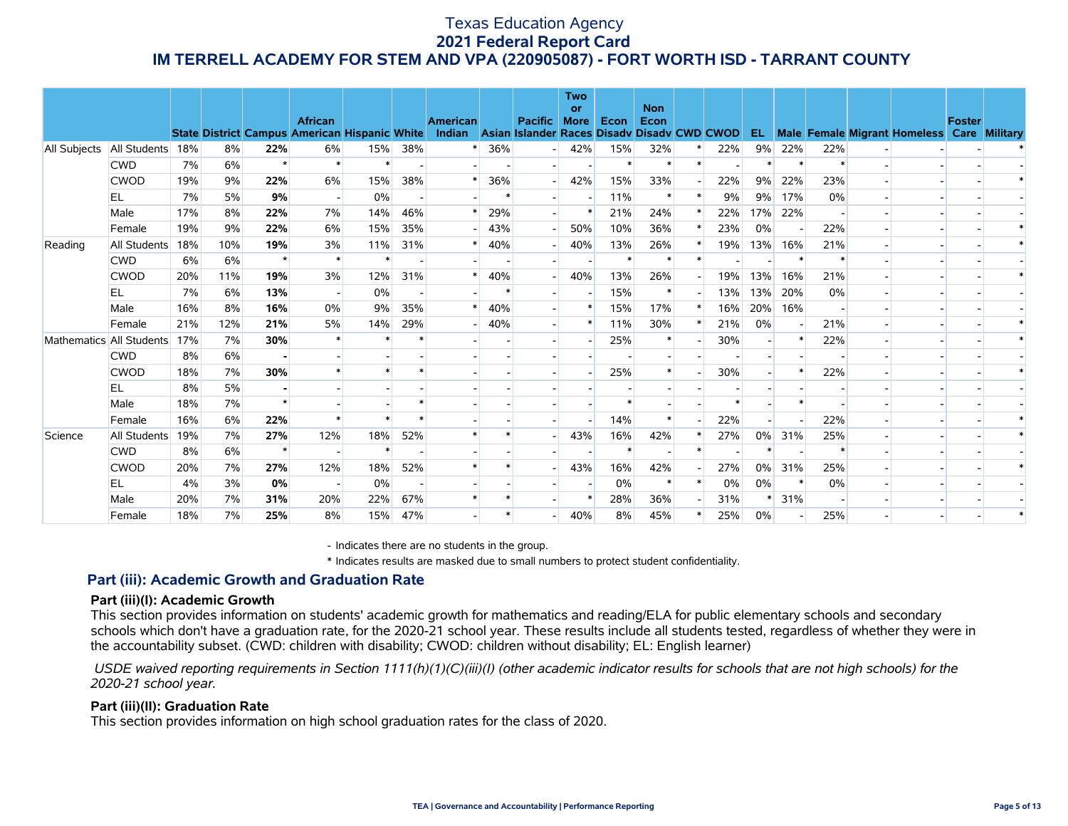|                    |              |     |     |                |                                                      |     |     |                 |        |                                             | <b>Two</b><br><b>or</b> |               | <b>Non</b>    |     |     |     |     |                                            |               |  |
|--------------------|--------------|-----|-----|----------------|------------------------------------------------------|-----|-----|-----------------|--------|---------------------------------------------|-------------------------|---------------|---------------|-----|-----|-----|-----|--------------------------------------------|---------------|--|
|                    |              |     |     |                | <b>African</b>                                       |     |     | <b>American</b> |        | <b>Pacific</b>                              | <b>More</b>             | Econ          | Econ          |     |     |     |     |                                            | <b>Foster</b> |  |
|                    |              |     |     |                | <b>State District Campus American Hispanic White</b> |     |     | Indian          |        | Asian Islander Races Disady Disady CWD CWOD |                         |               |               |     | EL. |     |     | Male Female Migrant Homeless Care Military |               |  |
| All Subjects       | All Students | 18% | 8%  | 22%<br>$\star$ | 6%<br>$\ast$                                         | 15% | 38% |                 | 36%    |                                             | 42%                     | 15%<br>$\ast$ | 32%<br>$\ast$ | 22% | 9%  | 22% | 22% |                                            |               |  |
|                    | <b>CWD</b>   | 7%  | 6%  |                |                                                      |     |     |                 |        |                                             |                         |               |               |     |     |     |     |                                            |               |  |
|                    | <b>CWOD</b>  | 19% | 9%  | 22%            | 6%                                                   | 15% | 38% |                 | 36%    |                                             | 42%                     | 15%           | 33%           | 22% | 9%  | 22% | 23% |                                            |               |  |
|                    | EL           | 7%  | 5%  | 9%             | $\overline{\phantom{a}}$                             | 0%  |     |                 |        |                                             |                         | 11%           |               | 9%  | 9%  | 17% | 0%  |                                            |               |  |
|                    | Male         | 17% | 8%  | 22%            | 7%                                                   | 14% | 46% |                 | 29%    |                                             | *                       | 21%           | 24%           | 22% | 17% | 22% |     |                                            |               |  |
|                    | Female       | 19% | 9%  | 22%            | 6%                                                   | 15% | 35% |                 | 43%    |                                             | 50%                     | 10%           | 36%           | 23% | 0%  |     | 22% |                                            |               |  |
| Reading            | All Students | 18% | 10% | 19%            | 3%                                                   | 11% | 31% |                 | 40%    |                                             | 40%                     | 13%           | 26%           | 19% | 13% | 16% | 21% |                                            |               |  |
|                    | <b>CWD</b>   | 6%  | 6%  | $\star$        | $\ast$                                               |     |     |                 |        |                                             |                         | $\ast$        |               |     |     |     |     |                                            |               |  |
|                    | <b>CWOD</b>  | 20% | 11% | 19%            | 3%                                                   | 12% | 31% |                 | 40%    |                                             | 40%                     | 13%           | 26%           | 19% | 13% | 16% | 21% |                                            |               |  |
|                    | EL           | 7%  | 6%  | 13%            | $\overline{\phantom{a}}$                             | 0%  |     |                 | $\ast$ |                                             |                         | 15%           | $\ast$        | 13% | 13% | 20% | 0%  |                                            |               |  |
|                    | Male         | 16% | 8%  | 16%            | 0%                                                   | 9%  | 35% |                 | 40%    |                                             |                         | 15%           | 17%           | 16% | 20% | 16% |     |                                            |               |  |
|                    | Female       | 21% | 12% | 21%            | 5%                                                   | 14% | 29% |                 | 40%    |                                             | $\ast$                  | 11%           | 30%           | 21% | 0%  |     | 21% |                                            |               |  |
| <b>Mathematics</b> | All Students | 17% | 7%  | 30%            | $\ast$                                               |     |     |                 |        |                                             |                         | 25%           | $\ast$        | 30% |     |     | 22% |                                            |               |  |
|                    | <b>CWD</b>   | 8%  | 6%  |                |                                                      |     |     |                 |        |                                             |                         |               |               |     |     |     |     |                                            |               |  |
|                    | <b>CWOD</b>  | 18% | 7%  | 30%            |                                                      |     |     |                 |        |                                             |                         | 25%           |               | 30% |     |     | 22% |                                            |               |  |
|                    | EL           | 8%  | 5%  |                |                                                      |     |     |                 |        |                                             |                         |               |               |     |     |     |     |                                            |               |  |
|                    | Male         | 18% | 7%  |                |                                                      |     |     |                 |        |                                             |                         | $\ast$        |               |     |     |     |     |                                            |               |  |
|                    | Female       | 16% | 6%  | 22%            |                                                      |     |     |                 |        |                                             |                         | 14%           |               | 22% |     |     | 22% |                                            |               |  |
| Science            | All Students | 19% | 7%  | 27%            | 12%                                                  | 18% | 52% |                 |        |                                             | 43%                     | 16%           | 42%           | 27% | 0%  | 31% | 25% |                                            |               |  |
|                    | <b>CWD</b>   | 8%  | 6%  | $\star$        |                                                      |     |     |                 |        |                                             |                         | $\ast$        |               |     |     |     |     |                                            |               |  |
|                    | <b>CWOD</b>  | 20% | 7%  | 27%            | 12%                                                  | 18% | 52% |                 |        |                                             | 43%                     | 16%           | 42%           | 27% | 0%  | 31% | 25% |                                            |               |  |
|                    | EL           | 4%  | 3%  | 0%             | $\overline{\phantom{a}}$                             | 0%  |     |                 |        |                                             |                         | 0%            |               | 0%  | 0%  |     | 0%  |                                            |               |  |
|                    | Male         | 20% | 7%  | 31%            | 20%                                                  | 22% | 67% |                 |        |                                             | *                       | 28%           | 36%           | 31% |     | 31% |     |                                            |               |  |
|                    | Female       | 18% | 7%  | 25%            | 8%                                                   | 15% | 47% |                 |        |                                             | 40%                     | 8%            | 45%           | 25% | 0%  |     | 25% |                                            |               |  |

- Indicates there are no students in the group.

\* Indicates results are masked due to small numbers to protect student confidentiality.

### **Part (iii): Academic Growth and Graduation Rate**

#### **Part (iii)(I): Academic Growth**

This section provides information on students' academic growth for mathematics and reading/ELA for public elementary schools and secondary schools which don't have a graduation rate, for the 2020-21 school year. These results include all students tested, regardless of whether they were in the accountability subset. (CWD: children with disability; CWOD: children without disability; EL: English learner)

 *USDE waived reporting requirements in Section 1111(h)(1)(C)(iii)(I) (other academic indicator results for schools that are not high schools) for the 2020-21 school year.*

#### **Part (iii)(II): Graduation Rate**

This section provides information on high school graduation rates for the class of 2020.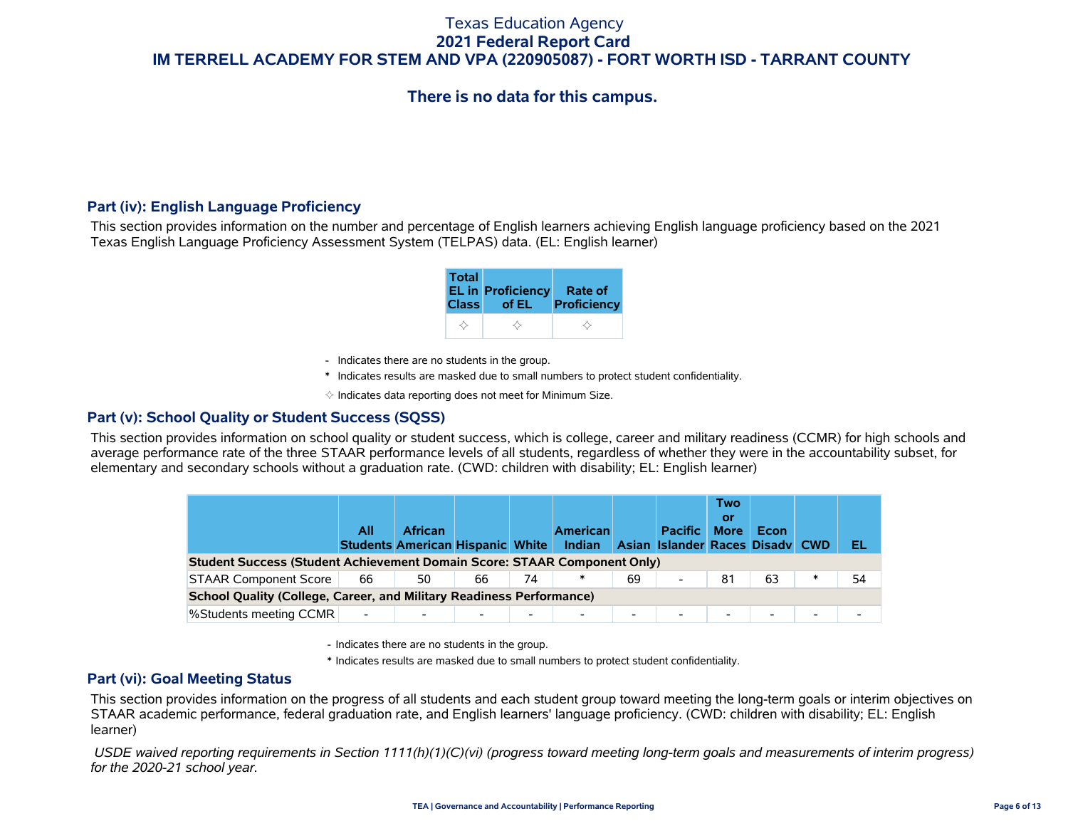# **There is no data for this campus.**

### **Part (iv): English Language Proficiency**

This section provides information on the number and percentage of English learners achieving English language proficiency based on the 2021 Texas English Language Proficiency Assessment System (TELPAS) data. (EL: English learner)

| <b>Total</b> | <b>EL in Proficiency</b> | Rate of     |
|--------------|--------------------------|-------------|
| <b>Class</b> | of EL                    | Proficiency |
|              |                          |             |

- Indicates there are no students in the group.
- \* Indicates results are masked due to small numbers to protect student confidentiality.

 $\diamond$  Indicates data reporting does not meet for Minimum Size.

### **Part (v): School Quality or Student Success (SQSS)**

This section provides information on school quality or student success, which is college, career and military readiness (CCMR) for high schools and average performance rate of the three STAAR performance levels of all students, regardless of whether they were in the accountability subset, for elementary and secondary schools without a graduation rate. (CWD: children with disability; EL: English learner)

|                                                                                                                            | All                      | <b>African</b> |    |                          | <b>American</b><br>Indian |                          | <b>Pacific</b><br>Asian Islander Races Disady CWD | <b>Two</b><br><b>O</b> ľ<br><b>More</b> | Econ |  | EL |  |  |  |
|----------------------------------------------------------------------------------------------------------------------------|--------------------------|----------------|----|--------------------------|---------------------------|--------------------------|---------------------------------------------------|-----------------------------------------|------|--|----|--|--|--|
| <b>Students American Hispanic White</b><br><b>Student Success (Student Achievement Domain Score: STAAR Component Only)</b> |                          |                |    |                          |                           |                          |                                                   |                                         |      |  |    |  |  |  |
| <b>STAAR Component Score</b>                                                                                               | 66                       | 50             | 66 | 74                       |                           | 69                       | $\blacksquare$                                    | 81                                      | 63   |  | 54 |  |  |  |
| <b>School Quality (College, Career, and Military Readiness Performance)</b>                                                |                          |                |    |                          |                           |                          |                                                   |                                         |      |  |    |  |  |  |
| %Students meeting CCMR                                                                                                     | $\overline{\phantom{a}}$ |                |    | $\overline{\phantom{0}}$ |                           | $\overline{\phantom{0}}$ | $\overline{\phantom{0}}$                          | $\overline{\phantom{0}}$                | -    |  |    |  |  |  |

- Indicates there are no students in the group.

\* Indicates results are masked due to small numbers to protect student confidentiality.

#### **Part (vi): Goal Meeting Status**

This section provides information on the progress of all students and each student group toward meeting the long-term goals or interim objectives on STAAR academic performance, federal graduation rate, and English learners' language proficiency. (CWD: children with disability; EL: English learner)

 *USDE waived reporting requirements in Section 1111(h)(1)(C)(vi) (progress toward meeting long-term goals and measurements of interim progress) for the 2020-21 school year.*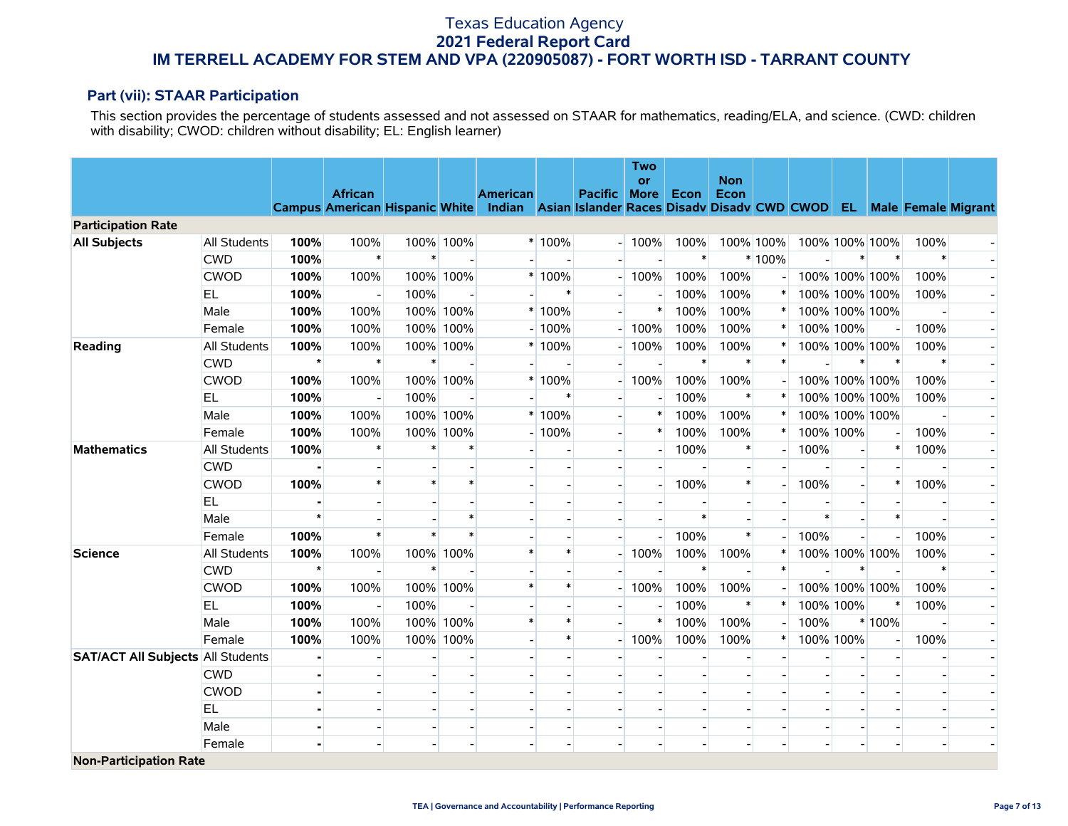### **Part (vii): STAAR Participation**

This section provides the percentage of students assessed and not assessed on STAAR for mathematics, reading/ELA, and science. (CWD: children with disability; CWOD: children without disability; EL: English learner)

|                                          |                     |         |                |        |           |                                                                                                          |                |                          | <b>Two</b>        |        | <b>Non</b> |                |         |                |                          |        |  |
|------------------------------------------|---------------------|---------|----------------|--------|-----------|----------------------------------------------------------------------------------------------------------|----------------|--------------------------|-------------------|--------|------------|----------------|---------|----------------|--------------------------|--------|--|
|                                          |                     |         | <b>African</b> |        |           | <b>American</b>                                                                                          |                | <b>Pacific</b>           | or<br><b>More</b> | Econ   | Econ       |                |         |                |                          |        |  |
|                                          |                     |         |                |        |           | Campus American Hispanic White Indian Asian Islander Races Disadv Disadv CWD CWOD EL Male Female Migrant |                |                          |                   |        |            |                |         |                |                          |        |  |
| <b>Participation Rate</b>                |                     |         |                |        |           |                                                                                                          |                |                          |                   |        |            |                |         |                |                          |        |  |
| <b>All Subjects</b>                      | <b>All Students</b> | 100%    | 100%           |        | 100% 100% |                                                                                                          | $*100%$        |                          | 100%              | 100%   |            | 100% 100%      |         | 100% 100% 100% |                          | 100%   |  |
|                                          | <b>CWD</b>          | 100%    | $\ast$         | $\ast$ |           |                                                                                                          |                |                          |                   | $\ast$ |            | $*100%$        |         | $\ast$         | $\ast$                   | $\ast$ |  |
|                                          | <b>CWOD</b>         | 100%    | 100%           |        | 100% 100% |                                                                                                          | $*100%$        |                          | 100%              | 100%   | 100%       |                |         | 100% 100% 100% |                          | 100%   |  |
|                                          | EL                  | 100%    |                | 100%   |           |                                                                                                          | $\ast$         |                          |                   | 100%   | 100%       |                |         | 100% 100% 100% |                          | 100%   |  |
|                                          | Male                | 100%    | 100%           |        | 100% 100% |                                                                                                          | * 100%         |                          | $\ast$            | 100%   | 100%       |                |         | 100% 100% 100% |                          |        |  |
|                                          | Female              | 100%    | 100%           |        | 100% 100% |                                                                                                          | $-100%$        |                          | 100%              | 100%   | 100%       |                |         | 100% 100%      |                          | 100%   |  |
| Reading                                  | All Students        | 100%    | 100%           |        | 100% 100% |                                                                                                          | $*100%$        |                          | 100%              | 100%   | 100%       | ∗              |         | 100% 100% 100% |                          | 100%   |  |
|                                          | <b>CWD</b>          | $\star$ | $\ast$         | $\ast$ |           |                                                                                                          |                |                          |                   | $\ast$ | $\ast$     | $\ast$         |         | $\ast$         | $\ast$                   | $\ast$ |  |
|                                          | <b>CWOD</b>         | 100%    | 100%           |        | 100% 100% |                                                                                                          | * 100%         |                          | 100%              | 100%   | 100%       |                |         | 100% 100% 100% |                          | 100%   |  |
|                                          | <b>EL</b>           | 100%    |                | 100%   |           |                                                                                                          | $\ast$         |                          |                   | 100%   |            |                |         | 100% 100% 100% |                          | 100%   |  |
|                                          | Male                | 100%    | 100%           |        | 100% 100% |                                                                                                          | * 100%         |                          | $\ast$            | 100%   | 100%       |                |         | 100% 100% 100% |                          |        |  |
|                                          | Female              | 100%    | 100%           |        | 100% 100% |                                                                                                          | $-100%$        |                          | $\ast$            | 100%   | 100%       | $\ast$         |         | 100% 100%      | $\overline{\phantom{a}}$ | 100%   |  |
| <b>Mathematics</b>                       | All Students        | 100%    | $\ast$         |        | $\ast$    |                                                                                                          |                |                          |                   | 100%   |            | $\overline{a}$ | 100%    |                | $\ast$                   | 100%   |  |
|                                          | <b>CWD</b>          |         |                |        |           |                                                                                                          |                |                          |                   |        |            |                |         |                |                          |        |  |
|                                          | <b>CWOD</b>         | 100%    | $\ast$         |        | $\ast$    |                                                                                                          |                |                          |                   | 100%   | $\ast$     | $\blacksquare$ | 100%    |                | $\ast$                   | 100%   |  |
|                                          | EL                  |         |                |        |           |                                                                                                          |                |                          |                   |        |            |                |         |                |                          |        |  |
|                                          | Male                | $\star$ |                |        | $\ast$    |                                                                                                          |                |                          |                   | $\ast$ |            |                | $\star$ |                | $\ast$                   |        |  |
|                                          | Female              | 100%    | $\ast$         |        | $\star$   |                                                                                                          |                |                          |                   | 100%   | $\ast$     |                | 100%    |                |                          | 100%   |  |
| <b>Science</b>                           | <b>All Students</b> | 100%    | 100%           |        | 100% 100% | $\star$                                                                                                  | $\ast$         |                          | 100%              | 100%   | 100%       |                |         | 100% 100% 100% |                          | 100%   |  |
|                                          | <b>CWD</b>          | $\star$ |                | $\ast$ |           |                                                                                                          |                |                          |                   | $\ast$ |            | $\ast$         |         | $\ast$         |                          | $\ast$ |  |
|                                          | <b>CWOD</b>         | 100%    | 100%           |        | 100% 100% |                                                                                                          | $\ast$         |                          | 100%              | 100%   | 100%       |                |         | 100% 100% 100% |                          | 100%   |  |
|                                          | EL.                 | 100%    | $\overline{a}$ | 100%   |           |                                                                                                          |                |                          |                   | 100%   | $\ast$     | $\ast$         |         | 100% 100%      | $\ast$                   | 100%   |  |
|                                          | Male                | 100%    | 100%           |        | 100% 100% | $\ast$                                                                                                   | $\ast$         |                          | $\ast$            | 100%   | 100%       |                | 100%    |                | * 100%                   |        |  |
|                                          | Female              | 100%    | 100%           |        | 100% 100% |                                                                                                          | $\ast$         |                          | 100%              | 100%   | 100%       | $\ast$         |         | 100% 100%      | $\overline{\phantom{a}}$ | 100%   |  |
| <b>SAT/ACT All Subjects All Students</b> |                     |         |                |        |           |                                                                                                          |                |                          |                   |        |            |                |         |                | $\overline{\phantom{a}}$ |        |  |
|                                          | <b>CWD</b>          |         |                |        |           |                                                                                                          |                |                          |                   |        |            |                |         |                |                          |        |  |
|                                          | <b>CWOD</b>         |         |                |        |           |                                                                                                          |                |                          |                   |        |            |                |         |                |                          |        |  |
|                                          | EL                  |         |                |        |           |                                                                                                          |                |                          |                   |        |            |                |         |                |                          |        |  |
|                                          | Male                |         | $\blacksquare$ |        |           |                                                                                                          | $\blacksquare$ | $\overline{\phantom{a}}$ |                   |        |            |                |         |                | $\blacksquare$           |        |  |
|                                          | Female              |         |                |        |           |                                                                                                          |                |                          |                   |        |            |                |         |                |                          |        |  |
| <b>Non-Participation Rate</b>            |                     |         |                |        |           |                                                                                                          |                |                          |                   |        |            |                |         |                |                          |        |  |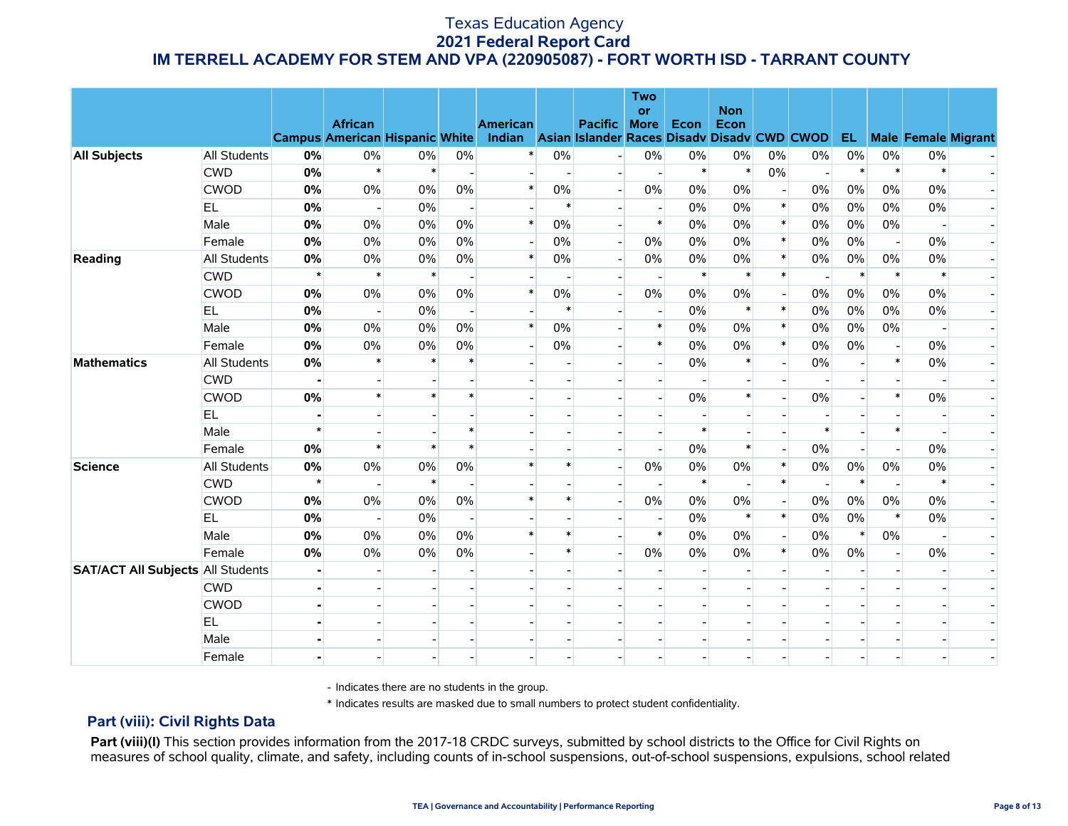|                                          |                                   |               | <b>African</b>           |              |                          | <b>American</b>                                                                             |                      | Pacific                  | <b>Two</b><br>or<br><b>More</b> | Econ            | <b>Non</b><br>Econ |                          |                |                 |                          |                 |                            |
|------------------------------------------|-----------------------------------|---------------|--------------------------|--------------|--------------------------|---------------------------------------------------------------------------------------------|----------------------|--------------------------|---------------------------------|-----------------|--------------------|--------------------------|----------------|-----------------|--------------------------|-----------------|----------------------------|
|                                          |                                   |               |                          |              | 0%                       | Campus American Hispanic White Indian Asian Islander Races Disadv Disadv CWD CWOD<br>$\ast$ | $0\%$                |                          | $0\%$                           |                 | 0%                 |                          |                | EL.<br>$0\%$    | 0%                       |                 | <b>Male Female Migrant</b> |
| <b>All Subjects</b>                      | <b>All Students</b><br><b>CWD</b> | 0%<br>0%      | 0%<br>$\ast$             | 0%<br>$\ast$ |                          |                                                                                             |                      |                          |                                 | $0\%$<br>$\ast$ | $\ast$             | 0%<br>0%                 | 0%             | $\ast$          | $\ast$                   | 0%<br>$\ast$    |                            |
|                                          | <b>CWOD</b>                       | 0%            | $0\%$                    | 0%           | 0%                       | $\overline{\phantom{0}}$<br>$\ast$                                                          | $\blacksquare$<br>0% | $\blacksquare$           | $\blacksquare$<br>0%            | $0\%$           | $0\%$              |                          | $\blacksquare$ | $0\%$           | 0%                       | $0\%$           |                            |
|                                          | EL.                               | 0%            |                          | 0%           |                          |                                                                                             | $\ast$               |                          |                                 | $0\%$           | $0\%$              | $\ast$                   | 0%             | 0%              | $0\%$                    | $0\%$           |                            |
|                                          | Male                              | 0%            | $\blacksquare$<br>$0\%$  | 0%           | 0%                       | $\ast$                                                                                      | 0%                   |                          | $\ast$                          | $0\%$           | $0\%$              | $\ast$                   | 0%             | 0%              | $0\%$                    |                 |                            |
|                                          |                                   |               |                          |              |                          | 니                                                                                           |                      |                          |                                 |                 |                    | $\ast$                   | 0%             |                 |                          |                 |                            |
|                                          | Female                            | 0%            | $0\%$                    | 0%           | 0%                       | $\ast$                                                                                      | 0%                   | $\overline{a}$           | 0%                              | 0%              | $0\%$              | $\ast$                   | 0%             | 0%              | $\overline{\phantom{a}}$ | $0\%$           |                            |
| Reading                                  | <b>All Students</b>               | 0%<br>$\star$ | 0%<br>$\ast$             | 0%<br>$\ast$ | 0%                       |                                                                                             | 0%                   | $\blacksquare$           | 0%                              | $0\%$<br>$\ast$ | $0\%$<br>$\ast$    | $\ast$                   | 0%             | $0\%$<br>$\ast$ | 0%<br>$\ast$             | $0\%$<br>$\ast$ |                            |
|                                          | <b>CWD</b>                        |               |                          |              |                          | $\ast$                                                                                      |                      |                          | $\blacksquare$                  |                 |                    |                          |                |                 |                          |                 |                            |
|                                          | <b>CWOD</b>                       | 0%            | $0\%$                    | 0%           | $0\%$                    |                                                                                             | $0\%$<br>$\ast$      | $\blacksquare$           | $0\%$                           | $0\%$           | $0\%$<br>$\ast$    | $\ast$                   | 0%             | 0%              | $0\%$                    | $0\%$           |                            |
|                                          | EL.                               | 0%            | $\overline{\phantom{a}}$ | 0%           | $\overline{\phantom{a}}$ | $\ast$                                                                                      |                      |                          | $\overline{\phantom{a}}$        | $0\%$           |                    |                          | 0%             | 0%              | $0\%$                    | $0\%$           |                            |
|                                          | Male                              | 0%            | $0\%$                    | 0%           | 0%                       |                                                                                             | 0%                   |                          | $\ast$                          | 0%              | 0%                 | $\ast$                   | 0%             | $0\%$           | $0\%$                    |                 |                            |
|                                          | Female                            | 0%            | $0\%$                    | 0%           | 0%                       |                                                                                             | $0\%$                |                          | $\ast$                          | $0\%$           | $0\%$              | $\ast$                   | 0%             | 0%              | $\overline{a}$           | 0%              |                            |
| <b>Mathematics</b>                       | All Students                      | 0%            | $\ast$                   | $\ast$       | $\ast$                   |                                                                                             |                      |                          |                                 | $0\%$           | $\ast$             |                          | 0%             |                 | $\ast$                   | $0\%$           |                            |
|                                          | <b>CWD</b>                        |               | $\overline{a}$           |              |                          |                                                                                             |                      |                          |                                 |                 |                    |                          |                |                 |                          |                 |                            |
|                                          | <b>CWOD</b>                       | 0%            | $\ast$                   |              | $\ast$                   |                                                                                             |                      |                          |                                 | $0\%$           | $\ast$             |                          | 0%             |                 | $\ast$                   | $0\%$           |                            |
|                                          | EL.                               |               |                          |              |                          |                                                                                             |                      |                          |                                 |                 |                    |                          |                |                 |                          |                 |                            |
|                                          | Male                              | $\star$       |                          |              | $\ast$                   |                                                                                             |                      |                          |                                 | $\ast$          |                    |                          | $\ast$         |                 | $\ast$                   |                 |                            |
|                                          | Female                            | 0%            | $\ast$                   |              | $\ast$                   |                                                                                             |                      |                          | $\overline{\phantom{a}}$        | $0\%$           | $\ast$             |                          | 0%             |                 | $\overline{a}$           | 0%              |                            |
| <b>Science</b>                           | <b>All Students</b>               | 0%            | $0\%$                    | 0%           | 0%                       | $\ast$                                                                                      | $\ast$               | $\overline{\phantom{a}}$ | 0%                              | $0\%$           | $0\%$              | $\ast$                   | 0%             | $0\%$           | $0\%$                    | 0%              |                            |
|                                          | <b>CWD</b>                        | $\star$       |                          | $\ast$       |                          |                                                                                             |                      |                          |                                 | $\ast$          |                    | $\ast$                   |                | $\ast$          |                          | $\ast$          |                            |
|                                          | <b>CWOD</b>                       | 0%            | 0%                       | 0%           | 0%                       | $\ast$                                                                                      | $\ast$               | $\overline{\phantom{a}}$ | 0%                              | $0\%$           | $0\%$              |                          | $0\%$          | 0%              | 0%                       | 0%              |                            |
|                                          | EL.                               | 0%            | $\overline{\phantom{a}}$ | 0%           |                          |                                                                                             |                      |                          |                                 | $0\%$           | $\ast$             | $\ast$                   | 0%             | 0%              | $\ast$                   | $0\%$           |                            |
|                                          | Male                              | 0%            | 0%                       | $0\%$        | 0%                       | $\ast$                                                                                      | $\ast$               |                          | $\ast$                          | $0\%$           | $0\%$              | $\overline{\phantom{a}}$ | 0%             | $\ast$          | 0%                       | $\overline{a}$  |                            |
|                                          | Female                            | 0%            | 0%                       | 0%           | 0%                       |                                                                                             | $\ast$               |                          | 0%                              | $0\%$           | 0%                 | $\ast$                   | 0%             | 0%              |                          | 0%              |                            |
| <b>SAT/ACT All Subjects All Students</b> |                                   |               |                          |              |                          |                                                                                             |                      |                          |                                 |                 |                    |                          |                |                 |                          |                 |                            |
|                                          | <b>CWD</b>                        |               |                          |              |                          |                                                                                             |                      |                          |                                 |                 |                    |                          |                |                 |                          |                 |                            |
|                                          | <b>CWOD</b>                       |               |                          |              |                          |                                                                                             |                      |                          |                                 |                 |                    |                          |                |                 |                          |                 |                            |
|                                          | EL                                |               |                          |              |                          |                                                                                             |                      |                          |                                 |                 |                    |                          |                |                 |                          |                 |                            |
|                                          | Male                              |               |                          |              |                          |                                                                                             |                      |                          |                                 |                 |                    |                          |                |                 |                          |                 |                            |
|                                          | Female                            |               |                          |              |                          |                                                                                             |                      |                          |                                 |                 |                    |                          |                |                 |                          |                 |                            |

- Indicates there are no students in the group.

\* Indicates results are masked due to small numbers to protect student confidentiality.

### **Part (viii): Civil Rights Data**

Part (viii)(I) This section provides information from the 2017-18 CRDC surveys, submitted by school districts to the Office for Civil Rights on measures of school quality, climate, and safety, including counts of in-school suspensions, out-of-school suspensions, expulsions, school related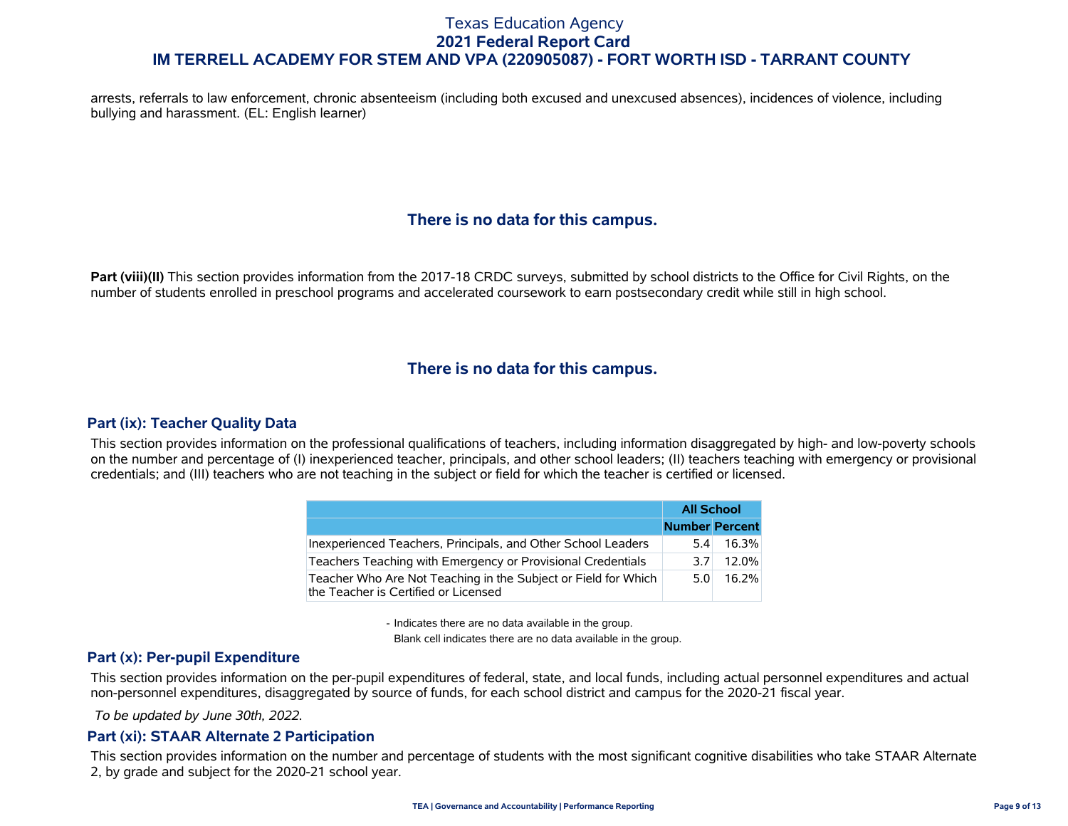arrests, referrals to law enforcement, chronic absenteeism (including both excused and unexcused absences), incidences of violence, including bullying and harassment. (EL: English learner)

# **There is no data for this campus.**

**Part (viii)(II)** This section provides information from the 2017-18 CRDC surveys, submitted by school districts to the Office for Civil Rights, on the number of students enrolled in preschool programs and accelerated coursework to earn postsecondary credit while still in high school.

# **There is no data for this campus.**

### **Part (ix): Teacher Quality Data**

This section provides information on the professional qualifications of teachers, including information disaggregated by high- and low-poverty schools on the number and percentage of (I) inexperienced teacher, principals, and other school leaders; (II) teachers teaching with emergency or provisional credentials; and (III) teachers who are not teaching in the subject or field for which the teacher is certified or licensed.

|                                                                                                        | <b>All School</b> |                       |
|--------------------------------------------------------------------------------------------------------|-------------------|-----------------------|
|                                                                                                        |                   | <b>Number Percent</b> |
| Inexperienced Teachers, Principals, and Other School Leaders                                           | 5.4               | 16.3%                 |
| Teachers Teaching with Emergency or Provisional Credentials                                            | 3 7 I             | $12.0\%$              |
| Teacher Who Are Not Teaching in the Subject or Field for Which<br>the Teacher is Certified or Licensed | 5 O               | 16.2%                 |

- Indicates there are no data available in the group.

Blank cell indicates there are no data available in the group.

### **Part (x): Per-pupil Expenditure**

This section provides information on the per-pupil expenditures of federal, state, and local funds, including actual personnel expenditures and actual non-personnel expenditures, disaggregated by source of funds, for each school district and campus for the 2020-21 fiscal year.

 *To be updated by June 30th, 2022.*

#### **Part (xi): STAAR Alternate 2 Participation**

This section provides information on the number and percentage of students with the most significant cognitive disabilities who take STAAR Alternate 2, by grade and subject for the 2020-21 school year.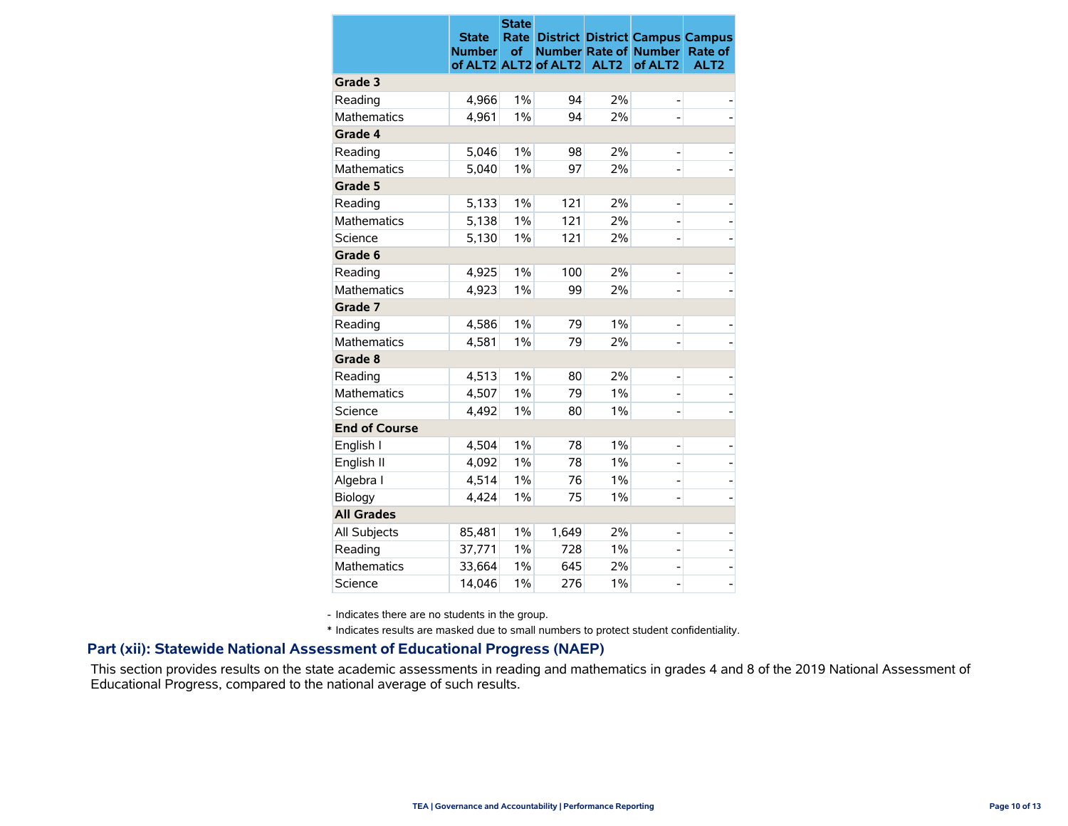|                      | <b>State</b><br><b>Number</b> | <b>State</b><br>Rate<br>οf |                      |                  | <b>District District Campus Campus</b><br><b>Number Rate of Number</b><br>of ALT <sub>2</sub> | Rate of<br>ALT <sub>2</sub> |
|----------------------|-------------------------------|----------------------------|----------------------|------------------|-----------------------------------------------------------------------------------------------|-----------------------------|
| Grade 3              |                               |                            | of ALT2 ALT2 of ALT2 | ALT <sub>2</sub> |                                                                                               |                             |
| Reading              | 4,966                         | 1%                         | 94                   | 2%               | -                                                                                             |                             |
| <b>Mathematics</b>   | 4,961                         | $1\%$                      | 94                   | 2%               |                                                                                               |                             |
| Grade 4              |                               |                            |                      |                  |                                                                                               |                             |
| Reading              | 5,046                         | 1%                         | 98                   | 2%               | -                                                                                             |                             |
| <b>Mathematics</b>   | 5,040                         | $1\%$                      | 97                   | 2%               |                                                                                               |                             |
| Grade 5              |                               |                            |                      |                  |                                                                                               |                             |
| Reading              | 5,133                         | $1\%$                      | 121                  | 2%               |                                                                                               |                             |
| <b>Mathematics</b>   | 5,138                         | $1\%$                      | 121                  | 2%               | -                                                                                             |                             |
| Science              | 5,130                         | 1%                         | 121                  | 2%               |                                                                                               |                             |
| Grade 6              |                               |                            |                      |                  |                                                                                               |                             |
| Reading              | 4,925                         | 1%                         | 100                  | 2%               |                                                                                               |                             |
| <b>Mathematics</b>   | 4,923                         | 1%                         | 99                   | 2%               | -                                                                                             |                             |
| Grade 7              |                               |                            |                      |                  |                                                                                               |                             |
| Reading              | 4,586                         | 1%                         | 79                   | $1\%$            | -                                                                                             |                             |
| <b>Mathematics</b>   | 4,581                         | 1%                         | 79                   | 2%               |                                                                                               |                             |
| Grade 8              |                               |                            |                      |                  |                                                                                               |                             |
| Reading              | 4,513                         | 1%                         | 80                   | 2%               | -                                                                                             |                             |
| <b>Mathematics</b>   | 4,507                         | 1%                         | 79                   | 1%               | -                                                                                             |                             |
| Science              | 4,492                         | $1\%$                      | 80                   | $1\%$            |                                                                                               |                             |
| <b>End of Course</b> |                               |                            |                      |                  |                                                                                               |                             |
| English I            | 4,504                         | 1%                         | 78                   | 1%               | -                                                                                             |                             |
| English II           | 4,092                         | $1\%$                      | 78                   | $1\%$            | -                                                                                             |                             |
| Algebra I            | 4,514                         | 1%                         | 76                   | $1\%$            |                                                                                               |                             |
| Biology              | 4,424                         | 1%                         | 75                   | $1\%$            | $\overline{a}$                                                                                |                             |
| <b>All Grades</b>    |                               |                            |                      |                  |                                                                                               |                             |
| All Subjects         | 85,481                        | 1%                         | 1,649                | 2%               | -                                                                                             |                             |
| Reading              | 37,771                        | $1\%$                      | 728                  | 1%               | -                                                                                             |                             |
| <b>Mathematics</b>   | 33,664                        | 1%                         | 645                  | 2%               | -                                                                                             | $\overline{a}$              |
| Science              | 14,046                        | 1%                         | 276                  | 1%               |                                                                                               |                             |

- Indicates there are no students in the group.

\* Indicates results are masked due to small numbers to protect student confidentiality.

#### **Part (xii): Statewide National Assessment of Educational Progress (NAEP)**

This section provides results on the state academic assessments in reading and mathematics in grades 4 and 8 of the 2019 National Assessment of Educational Progress, compared to the national average of such results.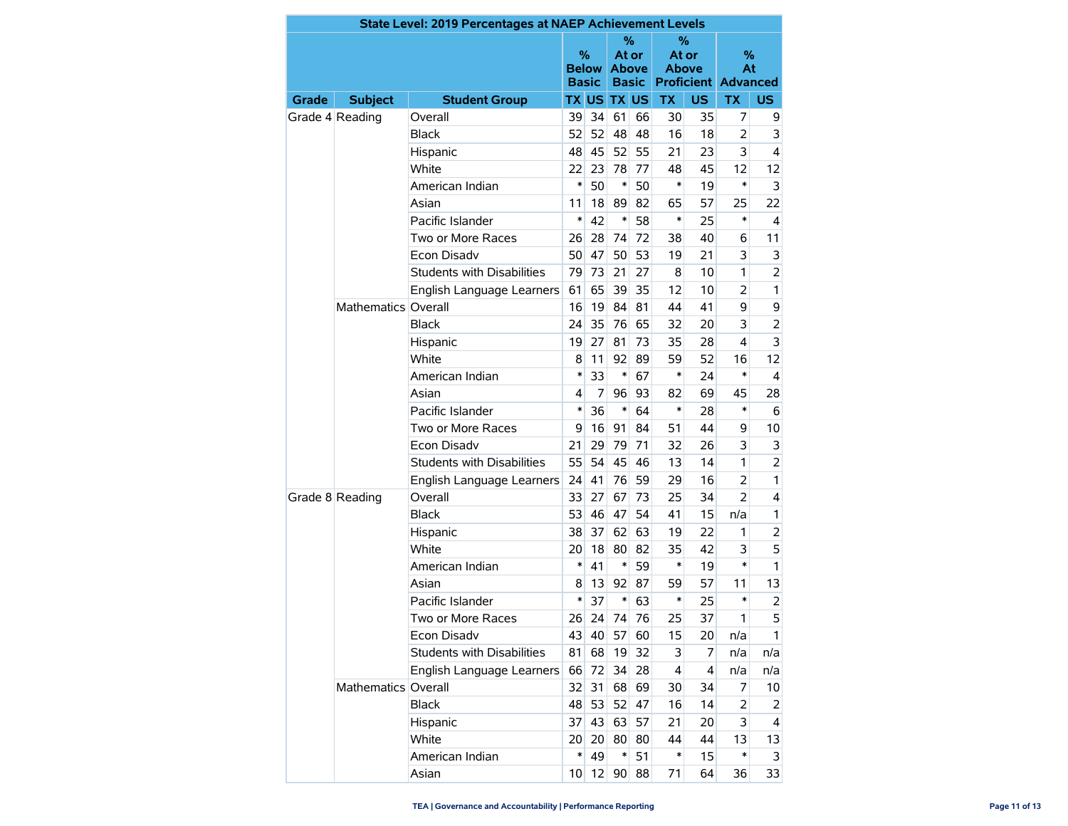|       |                     | State Level: 2019 Percentages at NAEP Achievement Levels |                   |              |                            |              |                            |                |                                       |                |
|-------|---------------------|----------------------------------------------------------|-------------------|--------------|----------------------------|--------------|----------------------------|----------------|---------------------------------------|----------------|
|       |                     |                                                          | %<br><b>Basic</b> | <b>Below</b> | ℅<br>At or<br><b>Above</b> | <b>Basic</b> | ℅<br>At or<br><b>Above</b> |                | %<br>At<br><b>Proficient Advanced</b> |                |
| Grade | <b>Subject</b>      | <b>Student Group</b>                                     |                   |              | <b>TX US TX US</b>         |              | <b>TX</b>                  | <b>US</b>      | <b>TX</b>                             | US.            |
|       | Grade 4 Reading     | Overall                                                  | 39                | 34           | 61                         | 66           | 30                         | 35             | 7                                     | 9              |
|       |                     | <b>Black</b>                                             | 52                | 52           | 48                         | 48           | 16                         | 18             | 2                                     | 3              |
|       |                     | Hispanic                                                 | 48                | 45           | 52                         | 55           | 21                         | 23             | 3                                     | 4              |
|       |                     | White                                                    | 22                | 23           | 78                         | 77           | 48                         | 45             | 12                                    | 12             |
|       |                     | American Indian                                          | $\ast$            | 50           | $\ast$                     | 50           | *                          | 19             | *                                     | 3              |
|       |                     | Asian                                                    | 11                | 18           | 89                         | 82           | 65                         | 57             | 25                                    | 22             |
|       |                     | Pacific Islander                                         | $\ast$            | 42           | $\ast$                     | 58           | $\ast$                     | 25             | *                                     | 4              |
|       |                     | Two or More Races                                        | 26                | 28           | 74                         | 72           | 38                         | 40             | 6                                     | 11             |
|       |                     | Econ Disadv                                              | 50                | 47           | 50                         | 53           | 19                         | 21             | 3                                     | 3              |
|       |                     | <b>Students with Disabilities</b>                        | 79                | 73           | 21                         | 27           | 8                          | 10             | 1                                     | $\overline{2}$ |
|       |                     | English Language Learners                                | 61                | 65           | 39                         | 35           | 12                         | 10             | $\overline{2}$                        | 1              |
|       | Mathematics Overall |                                                          | 16                | 19           | 84                         | 81           | 44                         | 41             | 9                                     | 9              |
|       |                     | <b>Black</b>                                             | 24                | 35           | 76                         | 65           | 32                         | 20             | 3                                     | $\overline{2}$ |
|       |                     | Hispanic                                                 | 19                | 27           | 81                         | 73           | 35                         | 28             | 4                                     | 3              |
|       |                     | <b>White</b>                                             | 8                 | 11           | 92                         | 89           | 59                         | 52             | 16                                    | 12             |
|       |                     | American Indian                                          | $\ast$            | 33           | $\ast$                     | 67           | *                          | 24             | *                                     | 4              |
|       |                     | Asian                                                    | 4                 | 7            | 96                         | 93           | 82                         | 69             | 45                                    | 28             |
|       |                     | Pacific Islander                                         | $\ast$            | 36           | $\ast$                     | 64           | *                          | 28             | *                                     | 6              |
|       |                     | Two or More Races                                        | 9                 | 16           | 91                         | 84           | 51                         | 44             | 9                                     | 10             |
|       |                     | <b>Econ Disadv</b>                                       | 21                | 29           | 79                         | 71           | 32                         | 26             | 3                                     | 3              |
|       |                     | Students with Disabilities                               | 55                | 54           | 45                         | 46           | 13                         | 14             | 1                                     | $\overline{2}$ |
|       |                     | English Language Learners                                | 24                | 41           | 76                         | 59           | 29                         | 16             | $\overline{2}$                        | 1              |
|       | Grade 8 Reading     | Overall                                                  | 33                | 27           | 67                         | 73           | 25                         | 34             | $\overline{2}$                        | 4              |
|       |                     | <b>Black</b>                                             | 53                | 46           | 47                         | 54           | 41                         | 15             | n/a                                   | $\mathbf{1}$   |
|       |                     | Hispanic                                                 | 38                | 37           | 62                         | 63           | 19                         | 22             | 1                                     | 2              |
|       |                     | White                                                    | 20                | 18           | 80                         | 82           | 35                         | 42             | 3                                     | 5              |
|       |                     | American Indian                                          | $\ast$            | 41           | $\ast$                     | 59           | *                          | 19             | *                                     | 1              |
|       |                     | Asian                                                    | 8                 | 13           | 92                         | 87           | 59                         | 57             | 11                                    | 13             |
|       |                     | Pacific Islander                                         | *                 | 37           | $\ast$                     | 63           | *                          | 25             | *                                     | $\overline{2}$ |
|       |                     | Two or More Races                                        | 26                | 24           | 74                         | 76           | 25                         | 37             | 1                                     | 5              |
|       |                     | Econ Disadv                                              | 43                | 40           | 57                         | 60           | 15                         | 20             | n/a                                   | 1              |
|       |                     | Students with Disabilities                               | 81                | 68           | 19                         | 32           | 3                          | $\overline{7}$ | n/a                                   | n/a            |
|       |                     | English Language Learners                                | 66                | 72           | 34                         | 28           | $\overline{4}$             | $\overline{4}$ | n/a                                   | n/a            |
|       | Mathematics Overall |                                                          | 32                | 31           |                            | 68 69        | 30                         | 34             | 7                                     | 10             |
|       |                     | <b>Black</b>                                             | 48                | 53           | 52                         | 47           | 16                         | 14             | $\overline{2}$                        | 2              |
|       |                     | Hispanic                                                 | 37                | 43           |                            | 63 57        | 21                         | 20             | 3                                     | 4              |
|       |                     | White                                                    | 20 <sup>°</sup>   | 20           | 80                         | 80           | 44                         | 44             | 13                                    | 13             |
|       |                     | American Indian                                          | ∗                 | 49           | $\ast$                     | 51           | $\ast$                     | 15             | *                                     | 3              |
|       |                     | Asian                                                    | 10 <sup>1</sup>   | 12           | 90                         | 88           | 71                         | 64             | 36                                    | 33             |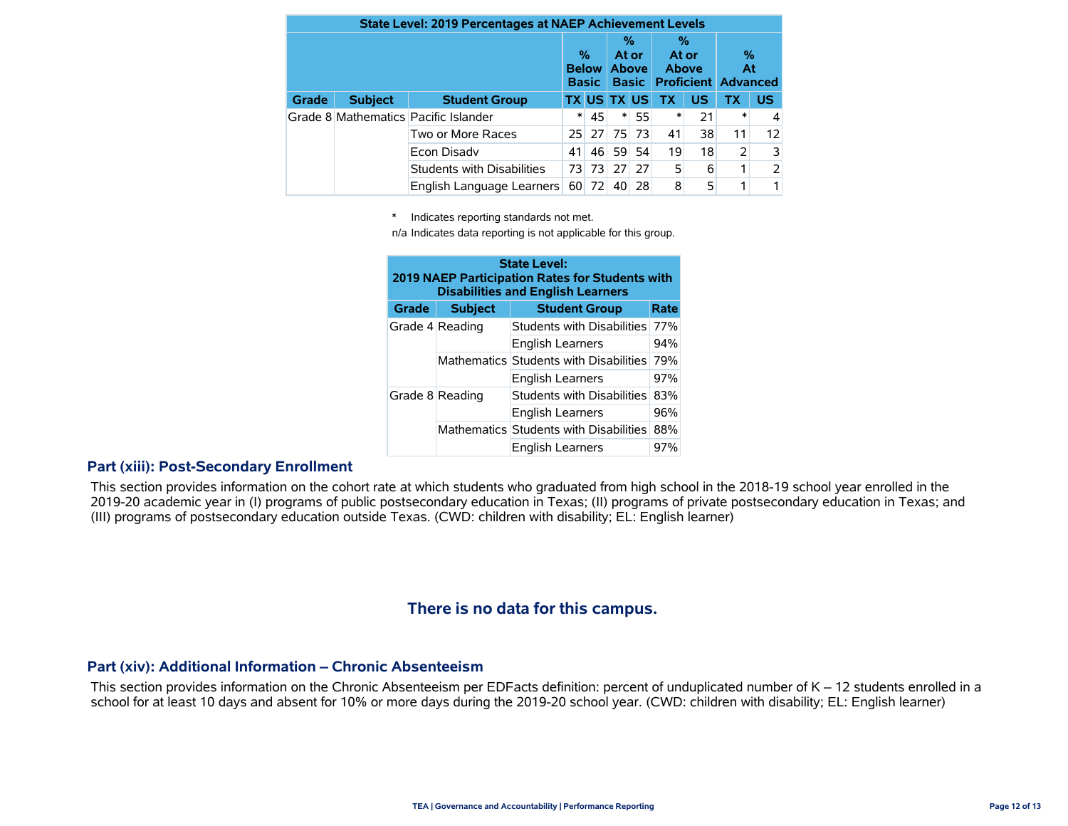| <b>State Level: 2019 Percentages at NAEP Achievement Levels</b> |                |                                      |                 |                   |                    |                                                  |    |                            |                |                                       |  |
|-----------------------------------------------------------------|----------------|--------------------------------------|-----------------|-------------------|--------------------|--------------------------------------------------|----|----------------------------|----------------|---------------------------------------|--|
|                                                                 |                |                                      |                 | %<br><b>Basic</b> |                    | %<br>At or<br><b>Below Above</b><br><b>Basic</b> |    | %<br>At or<br><b>Above</b> |                | %<br>At<br><b>Proficient Advanced</b> |  |
| <b>Grade</b>                                                    | <b>Subject</b> | <b>Student Group</b>                 |                 |                   | <b>TX US TX US</b> |                                                  | TX | <b>US</b>                  | <b>TX</b>      | <b>US</b>                             |  |
|                                                                 |                | Grade 8 Mathematics Pacific Islander | *               | 45                | $\ast$             | 55                                               | *  | 21                         | ∗              |                                       |  |
|                                                                 |                | Two or More Races                    | 25 <sup>1</sup> | <b>27</b>         | 75                 | 73                                               | 41 | 38                         | 11             | 12                                    |  |
|                                                                 |                | Econ Disady                          | 41              | 46                | 59                 | 54                                               | 19 | 18                         | $\overline{2}$ | 3                                     |  |
|                                                                 |                | <b>Students with Disabilities</b>    | 73              | 73                | 27                 | 27                                               | 5  | 6                          | 1              |                                       |  |
|                                                                 |                | English Language Learners            | 60              | 72                | 40                 | 28                                               | 8  | 5                          |                |                                       |  |

\* Indicates reporting standards not met.

n/a Indicates data reporting is not applicable for this group.

| <b>State Level:</b><br>2019 NAEP Participation Rates for Students with<br><b>Disabilities and English Learners</b> |                 |                                        |     |  |  |  |  |  |
|--------------------------------------------------------------------------------------------------------------------|-----------------|----------------------------------------|-----|--|--|--|--|--|
| <b>Grade</b>                                                                                                       | <b>Subject</b>  | <b>Student Group</b><br>Rate           |     |  |  |  |  |  |
|                                                                                                                    | Grade 4 Reading | Students with Disabilities             | 77% |  |  |  |  |  |
|                                                                                                                    |                 | <b>English Learners</b>                | 94% |  |  |  |  |  |
|                                                                                                                    |                 | Mathematics Students with Disabilities | 79% |  |  |  |  |  |
|                                                                                                                    |                 | <b>English Learners</b>                | 97% |  |  |  |  |  |
|                                                                                                                    | Grade 8 Reading | <b>Students with Disabilities</b>      | 83% |  |  |  |  |  |
|                                                                                                                    |                 | <b>English Learners</b>                | 96% |  |  |  |  |  |
|                                                                                                                    |                 | Mathematics Students with Disabilities | 88% |  |  |  |  |  |
|                                                                                                                    |                 | <b>English Learners</b>                | 97% |  |  |  |  |  |

#### **Part (xiii): Post-Secondary Enrollment**

This section provides information on the cohort rate at which students who graduated from high school in the 2018-19 school year enrolled in the 2019-20 academic year in (I) programs of public postsecondary education in Texas; (II) programs of private postsecondary education in Texas; and (III) programs of postsecondary education outside Texas. (CWD: children with disability; EL: English learner)

### **There is no data for this campus.**

#### **Part (xiv): Additional Information – Chronic Absenteeism**

This section provides information on the Chronic Absenteeism per EDFacts definition: percent of unduplicated number of K – 12 students enrolled in a school for at least 10 days and absent for 10% or more days during the 2019-20 school year. (CWD: children with disability; EL: English learner)